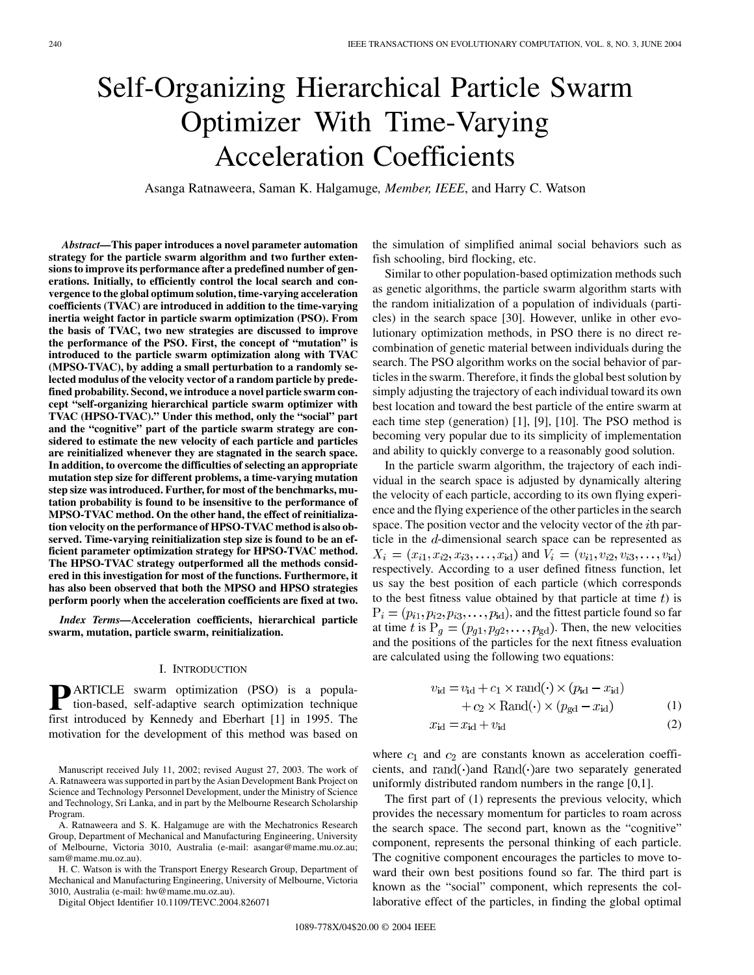# Self-Organizing Hierarchical Particle Swarm Optimizer With Time-Varying Acceleration Coefficients

Asanga Ratnaweera, Saman K. Halgamuge*, Member, IEEE*, and Harry C. Watson

*Abstract—***This paper introduces a novel parameter automation strategy for the particle swarm algorithm and two further extensions to improve its performance after a predefined number of generations. Initially, to efficiently control the local search and convergence to the global optimum solution, time-varying acceleration coefficients (TVAC) are introduced in addition to the time-varying inertia weight factor in particle swarm optimization (PSO). From the basis of TVAC, two new strategies are discussed to improve the performance of the PSO. First, the concept of "mutation" is introduced to the particle swarm optimization along with TVAC (MPSO-TVAC), by adding a small perturbation to a randomly selected modulus of the velocity vector of a random particle by predefined probability. Second, we introduce a novel particle swarm concept "self-organizing hierarchical particle swarm optimizer with TVAC (HPSO-TVAC)." Under this method, only the "social" part and the "cognitive" part of the particle swarm strategy are considered to estimate the new velocity of each particle and particles are reinitialized whenever they are stagnated in the search space. In addition, to overcome the difficulties of selecting an appropriate mutation step size for different problems, a time-varying mutation step size was introduced. Further, for most of the benchmarks, mutation probability is found to be insensitive to the performance of MPSO-TVAC method. On the other hand, the effect of reinitialization velocity on the performance of HPSO-TVAC method is also observed. Time-varying reinitialization step size is found to be an efficient parameter optimization strategy for HPSO-TVAC method. The HPSO-TVAC strategy outperformed all the methods considered in this investigation for most of the functions. Furthermore, it has also been observed that both the MPSO and HPSO strategies perform poorly when the acceleration coefficients are fixed at two.**

*Index Terms—***Acceleration coefficients, hierarchical particle swarm, mutation, particle swarm, reinitialization.**

#### I. INTRODUCTION

**P** ARTICLE swarm optimization (PSO) is a population-based, self-adaptive search optimization technique first introduced by Kennedy and Eberhart [\[1](#page-14-0)] in 1995. The motivation for the development of this method was based on

Manuscript received July 11, 2002; revised August 27, 2003. The work of A. Ratnaweera was supported in part by the Asian Development Bank Project on Science and Technology Personnel Development, under the Ministry of Science and Technology, Sri Lanka, and in part by the Melbourne Research Scholarship Program.

A. Ratnaweera and S. K. Halgamuge are with the Mechatronics Research Group, Department of Mechanical and Manufacturing Engineering, University of Melbourne, Victoria 3010, Australia (e-mail: asangar@mame.mu.oz.au; sam@mame.mu.oz.au).

H. C. Watson is with the Transport Energy Research Group, Department of Mechanical and Manufacturing Engineering, University of Melbourne, Victoria 3010, Australia (e-mail: hw@mame.mu.oz.au).

Digital Object Identifier 10.1109/TEVC.2004.826071

the simulation of simplified animal social behaviors such as fish schooling, bird flocking, etc.

Similar to other population-based optimization methods such as genetic algorithms, the particle swarm algorithm starts with the random initialization of a population of individuals (particles) in the search space [[30\]](#page-15-0). However, unlike in other evolutionary optimization methods, in PSO there is no direct recombination of genetic material between individuals during the search. The PSO algorithm works on the social behavior of particles in the swarm. Therefore, it finds the global best solution by simply adjusting the trajectory of each individual toward its own best location and toward the best particle of the entire swarm at each time step (generation) [[1\]](#page-14-0), [\[9](#page-14-0)], [[10](#page-14-0)]. The PSO method is becoming very popular due to its simplicity of implementation and ability to quickly converge to a reasonably good solution.

In the particle swarm algorithm, the trajectory of each individual in the search space is adjusted by dynamically altering the velocity of each particle, according to its own flying experience and the flying experience of the other particles in the search space. The position vector and the velocity vector of the *i*th particle in the  $d$ -dimensional search space can be represented as  $X_i = (x_{i1}, x_{i2}, x_{i3}, \dots, x_{id})$  and  $V_i = (v_{i1}, v_{i2}, v_{i3}, \dots, v_{id})$ respectively. According to a user defined fitness function, let us say the best position of each particle (which corresponds to the best fitness value obtained by that particle at time  $t$ ) is  $P_i = (p_{i1}, p_{i2}, p_{i3}, \dots, p_{id})$ , and the fittest particle found so far at time t is  $P_g = (p_{g1}, p_{g2}, \dots, p_{gd})$ . Then, the new velocities and the positions of the particles for the next fitness evaluation are calculated using the following two equations:

$$
v_{\rm id} = v_{\rm id} + c_1 \times \text{rand}(\cdot) \times (p_{\rm id} - x_{\rm id})
$$

$$
+ c_2 \times \text{Rand}(\cdot) \times (p_{\rm gd} - x_{\rm id})
$$
(1)

$$
v_{\rm id} = x_{\rm id} + v_{\rm id} \tag{2}
$$

where  $c_1$  and  $c_2$  are constants known as acceleration coefficients, and rand ( $\cdot$ ) and Rand ( $\cdot$ ) are two separately generated uniformly distributed random numbers in the range [0,1].

The first part of (1) represents the previous velocity, which provides the necessary momentum for particles to roam across the search space. The second part, known as the "cognitive" component, represents the personal thinking of each particle. The cognitive component encourages the particles to move toward their own best positions found so far. The third part is known as the "social" component, which represents the collaborative effect of the particles, in finding the global optimal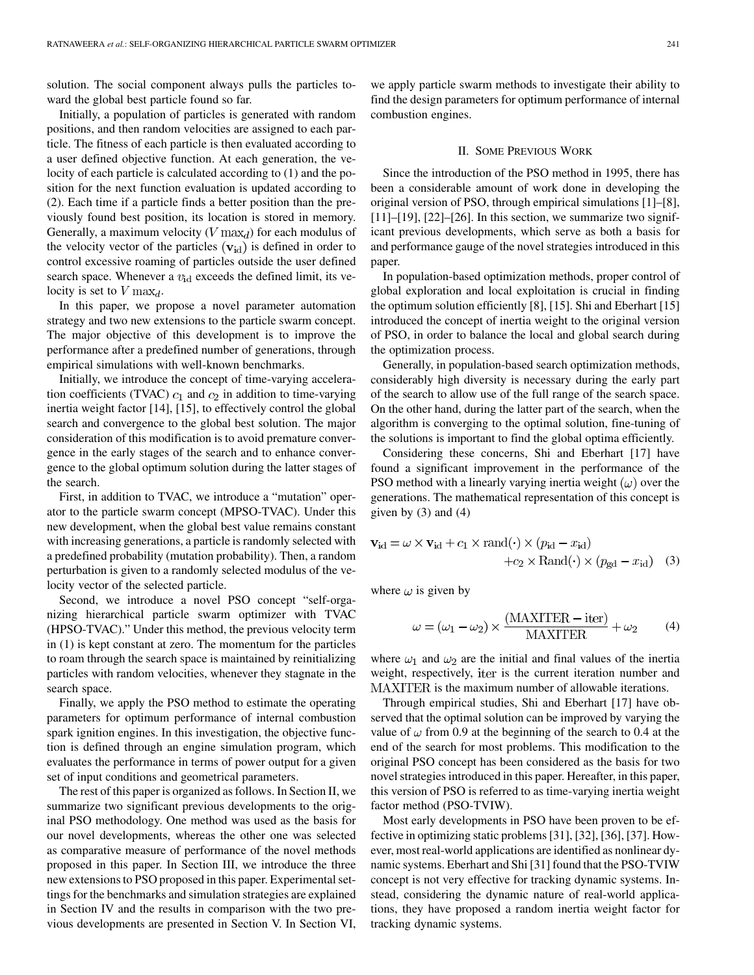solution. The social component always pulls the particles toward the global best particle found so far.

Initially, a population of particles is generated with random positions, and then random velocities are assigned to each particle. The fitness of each particle is then evaluated according to a user defined objective function. At each generation, the velocity of each particle is calculated according to (1) and the position for the next function evaluation is updated according to (2). Each time if a particle finds a better position than the previously found best position, its location is stored in memory. Generally, a maximum velocity  $(V \max_d)$  for each modulus of the velocity vector of the particles  $(v_{id})$  is defined in order to control excessive roaming of particles outside the user defined search space. Whenever a  $v_{\rm id}$  exceeds the defined limit, its velocity is set to  $V \max_d$ .

In this paper, we propose a novel parameter automation strategy and two new extensions to the particle swarm concept. The major objective of this development is to improve the performance after a predefined number of generations, through empirical simulations with well-known benchmarks.

Initially, we introduce the concept of time-varying acceleration coefficients (TVAC)  $c_1$  and  $c_2$  in addition to time-varying inertia weight factor [[14](#page-14-0)], [\[15](#page-14-0)], to effectively control the global search and convergence to the global best solution. The major consideration of this modification is to avoid premature convergence in the early stages of the search and to enhance convergence to the global optimum solution during the latter stages of the search.

First, in addition to TVAC, we introduce a "mutation" operator to the particle swarm concept (MPSO-TVAC). Under this new development, when the global best value remains constant with increasing generations, a particle is randomly selected with a predefined probability (mutation probability). Then, a random perturbation is given to a randomly selected modulus of the velocity vector of the selected particle.

Second, we introduce a novel PSO concept "self-organizing hierarchical particle swarm optimizer with TVAC (HPSO-TVAC)." Under this method, the previous velocity term in (1) is kept constant at zero. The momentum for the particles to roam through the search space is maintained by reinitializing particles with random velocities, whenever they stagnate in the search space.

Finally, we apply the PSO method to estimate the operating parameters for optimum performance of internal combustion spark ignition engines. In this investigation, the objective function is defined through an engine simulation program, which evaluates the performance in terms of power output for a given set of input conditions and geometrical parameters.

The rest of this paper is organized as follows. In Section II, we summarize two significant previous developments to the original PSO methodology. One method was used as the basis for our novel developments, whereas the other one was selected as comparative measure of performance of the novel methods proposed in this paper. In Section III, we introduce the three new extensions to PSO proposed in this paper. Experimental settings for the benchmarks and simulation strategies are explained in Section IV and the results in comparison with the two previous developments are presented in Section V. In Section VI, we apply particle swarm methods to investigate their ability to find the design parameters for optimum performance of internal combustion engines.

### II. SOME PREVIOUS WORK

Since the introduction of the PSO method in 1995, there has been a considerable amount of work done in developing the original version of PSO, through empirical simulations [[1\]](#page-14-0)–[\[8](#page-14-0)],  $[11]$  $[11]$ – $[19]$ ,  $[22]$  $[22]$ – $[26]$  $[26]$ . In this section, we summarize two significant previous developments, which serve as both a basis for and performance gauge of the novel strategies introduced in this paper.

In population-based optimization methods, proper control of global exploration and local exploitation is crucial in finding the optimum solution efficiently [\[8](#page-14-0)], [[15\]](#page-14-0). Shi and Eberhart [[15\]](#page-14-0) introduced the concept of inertia weight to the original version of PSO, in order to balance the local and global search during the optimization process.

Generally, in population-based search optimization methods, considerably high diversity is necessary during the early part of the search to allow use of the full range of the search space. On the other hand, during the latter part of the search, when the algorithm is converging to the optimal solution, fine-tuning of the solutions is important to find the global optima efficiently.

Considering these concerns, Shi and Eberhart [\[17](#page-14-0)] have found a significant improvement in the performance of the PSO method with a linearly varying inertia weight  $(\omega)$  over the generations. The mathematical representation of this concept is given by (3) and (4)

$$
\mathbf{v}_{\rm id} = \omega \times \mathbf{v}_{\rm id} + c_1 \times \text{rand}(\cdot) \times (p_{\rm id} - x_{\rm id}) + c_2 \times \text{Rand}(\cdot) \times (p_{\rm gd} - x_{\rm id}) \quad (3)
$$

where  $\omega$  is given by

$$
\omega = (\omega_1 - \omega_2) \times \frac{\text{(MAXITER - iter)}}{\text{MAXITER}} + \omega_2 \tag{4}
$$

where  $\omega_1$  and  $\omega_2$  are the initial and final values of the inertia weight, respectively, iter is the current iteration number and MAXITER is the maximum number of allowable iterations.

Through empirical studies, Shi and Eberhart [[17\]](#page-14-0) have observed that the optimal solution can be improved by varying the value of  $\omega$  from 0.9 at the beginning of the search to 0.4 at the end of the search for most problems. This modification to the original PSO concept has been considered as the basis for two novel strategies introduced in this paper. Hereafter, in this paper, this version of PSO is referred to as time-varying inertia weight factor method (PSO-TVIW).

Most early developments in PSO have been proven to be effective in optimizing static problems [\[31](#page-15-0)], [\[32](#page-15-0)], [\[36](#page-15-0)], [\[37](#page-15-0)]. However, most real-world applications are identified as nonlinear dynamic systems. Eberhart and Shi [[31\]](#page-15-0) found that the PSO-TVIW concept is not very effective for tracking dynamic systems. Instead, considering the dynamic nature of real-world applications, they have proposed a random inertia weight factor for tracking dynamic systems.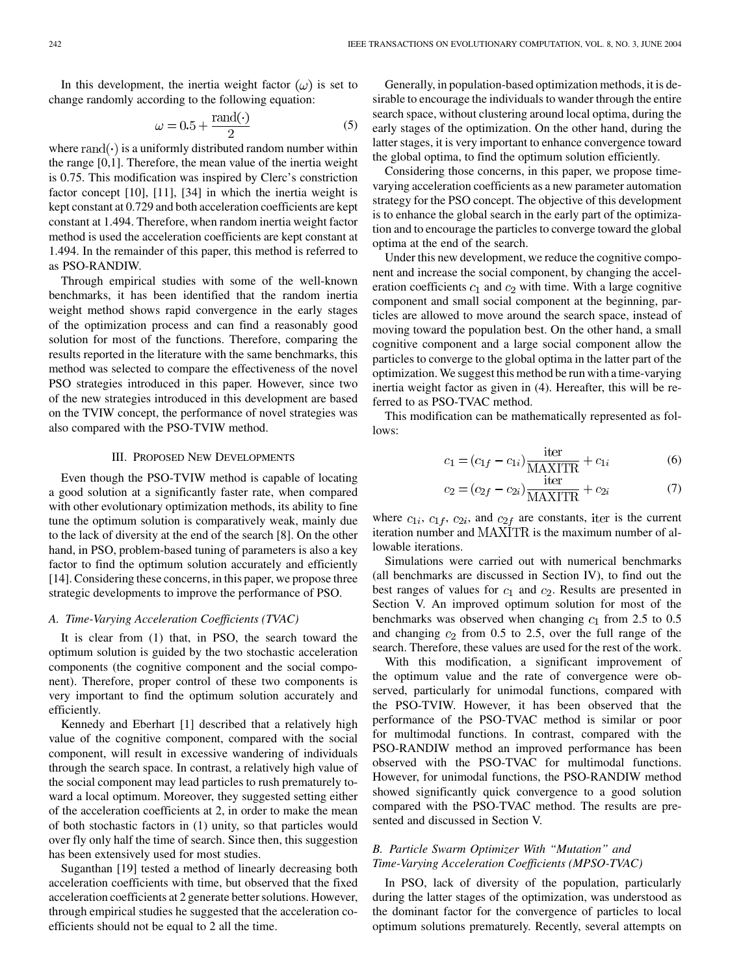In this development, the inertia weight factor  $(\omega)$  is set to change randomly according to the following equation:

$$
\omega = 0.5 + \frac{\text{rand}(\cdot)}{2} \tag{5}
$$

where rand( $\cdot$ ) is a uniformly distributed random number within the range [0,1]. Therefore, the mean value of the inertia weight is 0.75. This modification was inspired by Clerc's constriction factor concept [[10\]](#page-14-0), [[11\]](#page-14-0), [[34\]](#page-15-0) in which the inertia weight is kept constant at 0.729 and both acceleration coefficients are kept constant at 1.494. Therefore, when random inertia weight factor method is used the acceleration coefficients are kept constant at 1.494. In the remainder of this paper, this method is referred to as PSO-RANDIW.

Through empirical studies with some of the well-known benchmarks, it has been identified that the random inertia weight method shows rapid convergence in the early stages of the optimization process and can find a reasonably good solution for most of the functions. Therefore, comparing the results reported in the literature with the same benchmarks, this method was selected to compare the effectiveness of the novel PSO strategies introduced in this paper. However, since two of the new strategies introduced in this development are based on the TVIW concept, the performance of novel strategies was also compared with the PSO-TVIW method.

#### III. PROPOSED NEW DEVELOPMENTS

Even though the PSO-TVIW method is capable of locating a good solution at a significantly faster rate, when compared with other evolutionary optimization methods, its ability to fine tune the optimum solution is comparatively weak, mainly due to the lack of diversity at the end of the search [[8\]](#page-14-0). On the other hand, in PSO, problem-based tuning of parameters is also a key factor to find the optimum solution accurately and efficiently [[14\]](#page-14-0). Considering these concerns, in this paper, we propose three strategic developments to improve the performance of PSO.

## *A. Time-Varying Acceleration Coefficients (TVAC)*

It is clear from (1) that, in PSO, the search toward the optimum solution is guided by the two stochastic acceleration components (the cognitive component and the social component). Therefore, proper control of these two components is very important to find the optimum solution accurately and efficiently.

Kennedy and Eberhart [[1\]](#page-14-0) described that a relatively high value of the cognitive component, compared with the social component, will result in excessive wandering of individuals through the search space. In contrast, a relatively high value of the social component may lead particles to rush prematurely toward a local optimum. Moreover, they suggested setting either of the acceleration coefficients at 2, in order to make the mean of both stochastic factors in (1) unity, so that particles would over fly only half the time of search. Since then, this suggestion has been extensively used for most studies.

Suganthan [\[19](#page-14-0)] tested a method of linearly decreasing both acceleration coefficients with time, but observed that the fixed acceleration coefficients at 2 generate better solutions. However, through empirical studies he suggested that the acceleration coefficients should not be equal to 2 all the time.

Generally, in population-based optimization methods, it is desirable to encourage the individuals to wander through the entire search space, without clustering around local optima, during the early stages of the optimization. On the other hand, during the latter stages, it is very important to enhance convergence toward the global optima, to find the optimum solution efficiently.

Considering those concerns, in this paper, we propose timevarying acceleration coefficients as a new parameter automation strategy for the PSO concept. The objective of this development is to enhance the global search in the early part of the optimization and to encourage the particles to converge toward the global optima at the end of the search.

Under this new development, we reduce the cognitive component and increase the social component, by changing the acceleration coefficients  $c_1$  and  $c_2$  with time. With a large cognitive component and small social component at the beginning, particles are allowed to move around the search space, instead of moving toward the population best. On the other hand, a small cognitive component and a large social component allow the particles to converge to the global optima in the latter part of the optimization. We suggest this method be run with a time-varying inertia weight factor as given in (4). Hereafter, this will be referred to as PSO-TVAC method.

This modification can be mathematically represented as follows:

$$
c_1 = (c_{1f} - c_{1i}) \frac{\text{iter}}{\text{MAXITR}} + c_{1i} \tag{6}
$$

$$
c_2 = (c_{2f} - c_{2i}) \frac{\text{iter}}{\text{MAXITR}} + c_{2i} \tag{7}
$$

where  $c_{1i}$ ,  $c_{1f}$ ,  $c_{2i}$ , and  $c_{2f}$  are constants, iter is the current iteration number and MAXITR is the maximum number of allowable iterations.

Simulations were carried out with numerical benchmarks (all benchmarks are discussed in Section IV), to find out the best ranges of values for  $c_1$  and  $c_2$ . Results are presented in Section V. An improved optimum solution for most of the benchmarks was observed when changing  $c_1$  from 2.5 to 0.5 and changing  $c_2$  from 0.5 to 2.5, over the full range of the search. Therefore, these values are used for the rest of the work.

With this modification, a significant improvement of the optimum value and the rate of convergence were observed, particularly for unimodal functions, compared with the PSO-TVIW. However, it has been observed that the performance of the PSO-TVAC method is similar or poor for multimodal functions. In contrast, compared with the PSO-RANDIW method an improved performance has been observed with the PSO-TVAC for multimodal functions. However, for unimodal functions, the PSO-RANDIW method showed significantly quick convergence to a good solution compared with the PSO-TVAC method. The results are presented and discussed in Section V.

# *B. Particle Swarm Optimizer With "Mutation" and Time-Varying Acceleration Coefficients (MPSO-TVAC)*

In PSO, lack of diversity of the population, particularly during the latter stages of the optimization, was understood as the dominant factor for the convergence of particles to local optimum solutions prematurely. Recently, several attempts on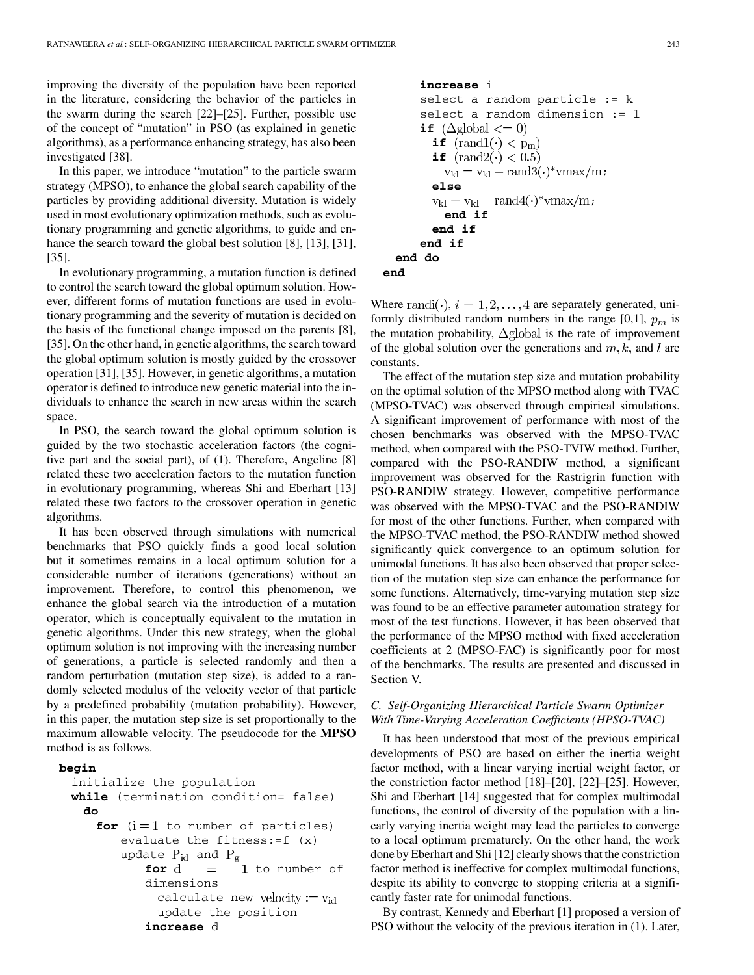improving the diversity of the population have been reported in the literature, considering the behavior of the particles in the swarm during the search [[22\]](#page-14-0)–[\[25](#page-14-0)]. Further, possible use of the concept of "mutation" in PSO (as explained in genetic algorithms), as a performance enhancing strategy, has also been investigated [[38\]](#page-15-0).

In this paper, we introduce "mutation" to the particle swarm strategy (MPSO), to enhance the global search capability of the particles by providing additional diversity. Mutation is widely used in most evolutionary optimization methods, such as evolutionary programming and genetic algorithms, to guide and enhance the search toward the global best solution [\[8](#page-14-0)], [[13\]](#page-14-0), [\[31](#page-15-0)], [\[35](#page-15-0)].

In evolutionary programming, a mutation function is defined to control the search toward the global optimum solution. However, different forms of mutation functions are used in evolutionary programming and the severity of mutation is decided on the basis of the functional change imposed on the parents [\[8](#page-14-0)], [\[35](#page-15-0)]. On the other hand, in genetic algorithms, the search toward the global optimum solution is mostly guided by the crossover operation [\[31\]](#page-15-0), [\[35](#page-15-0)]. However, in genetic algorithms, a mutation operator is defined to introduce new genetic material into the individuals to enhance the search in new areas within the search space.

In PSO, the search toward the global optimum solution is guided by the two stochastic acceleration factors (the cognitive part and the social part), of (1). Therefore, Angeline [[8\]](#page-14-0) related these two acceleration factors to the mutation function in evolutionary programming, whereas Shi and Eberhart [[13\]](#page-14-0) related these two factors to the crossover operation in genetic algorithms.

It has been observed through simulations with numerical benchmarks that PSO quickly finds a good local solution but it sometimes remains in a local optimum solution for a considerable number of iterations (generations) without an improvement. Therefore, to control this phenomenon, we enhance the global search via the introduction of a mutation operator, which is conceptually equivalent to the mutation in genetic algorithms. Under this new strategy, when the global optimum solution is not improving with the increasing number of generations, a particle is selected randomly and then a random perturbation (mutation step size), is added to a randomly selected modulus of the velocity vector of that particle by a predefined probability (mutation probability). However, in this paper, the mutation step size is set proportionally to the maximum allowable velocity. The pseudocode for the **MPSO** method is as follows.

## **begin**

```
initialize the population
while (termination condition= false)
 do
   for (i = 1 to number of particles)
       evaluate the fitness:=f (x)
       update P_{id} and P_gfor d = 1 to number of
          dimensions
            calculate new velocity := v_{id}update the position
          increase d
```

```
increase i
     select a random particle := k
     select a random dimension := l
     if (\Delta \text{global} \leq 0)if (\text{rand1}(\cdot) < p_m)if (\text{rand2}(\cdot) < 0.5)v_{kl} = v_{kl} + \text{rand3}(\cdot)^* \text{vmax/m};
        else
        v_{kl} = v_{kl} - \text{rand4}(\cdot)^* \text{vmax/m};
           end if
        end if
     end if
end do
```
**end**

Where randi( $\cdot$ ),  $i = 1, 2, \dots, 4$  are separately generated, uniformly distributed random numbers in the range [0,1],  $p_m$  is the mutation probability,  $\Delta$ global is the rate of improvement of the global solution over the generations and  $m, k$ , and  $l$  are constants.

The effect of the mutation step size and mutation probability on the optimal solution of the MPSO method along with TVAC (MPSO-TVAC) was observed through empirical simulations. A significant improvement of performance with most of the chosen benchmarks was observed with the MPSO-TVAC method, when compared with the PSO-TVIW method. Further, compared with the PSO-RANDIW method, a significant improvement was observed for the Rastrigrin function with PSO-RANDIW strategy. However, competitive performance was observed with the MPSO-TVAC and the PSO-RANDIW for most of the other functions. Further, when compared with the MPSO-TVAC method, the PSO-RANDIW method showed significantly quick convergence to an optimum solution for unimodal functions. It has also been observed that proper selection of the mutation step size can enhance the performance for some functions. Alternatively, time-varying mutation step size was found to be an effective parameter automation strategy for most of the test functions. However, it has been observed that the performance of the MPSO method with fixed acceleration coefficients at 2 (MPSO-FAC) is significantly poor for most of the benchmarks. The results are presented and discussed in Section V.

## *C. Self-Organizing Hierarchical Particle Swarm Optimizer With Time-Varying Acceleration Coefficients (HPSO-TVAC)*

It has been understood that most of the previous empirical developments of PSO are based on either the inertia weight factor method, with a linear varying inertial weight factor, or the constriction factor method [[18\]](#page-14-0)–[\[20](#page-14-0)], [[22\]](#page-14-0)–[\[25](#page-14-0)]. However, Shi and Eberhart [\[14](#page-14-0)] suggested that for complex multimodal functions, the control of diversity of the population with a linearly varying inertia weight may lead the particles to converge to a local optimum prematurely. On the other hand, the work done by Eberhart and Shi [\[12](#page-14-0)] clearly shows that the constriction factor method is ineffective for complex multimodal functions, despite its ability to converge to stopping criteria at a significantly faster rate for unimodal functions.

By contrast, Kennedy and Eberhart [\[1](#page-14-0)] proposed a version of PSO without the velocity of the previous iteration in (1). Later,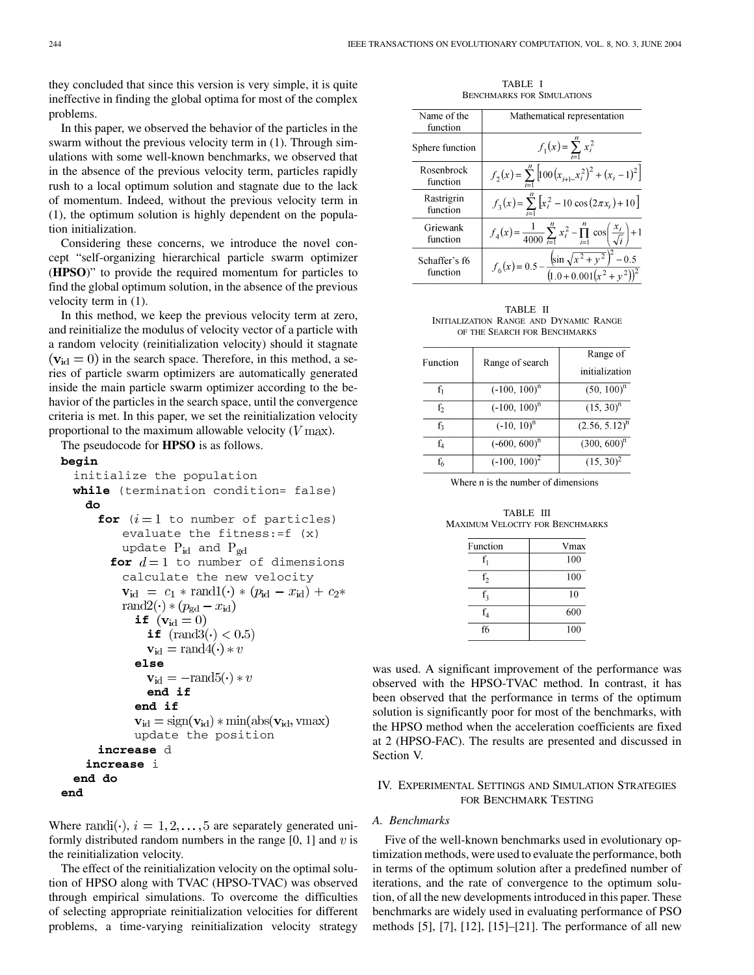they concluded that since this version is very simple, it is quite ineffective in finding the global optima for most of the complex problems.

In this paper, we observed the behavior of the particles in the swarm without the previous velocity term in (1). Through simulations with some well-known benchmarks, we observed that in the absence of the previous velocity term, particles rapidly rush to a local optimum solution and stagnate due to the lack of momentum. Indeed, without the previous velocity term in (1), the optimum solution is highly dependent on the population initialization.

Considering these concerns, we introduce the novel concept "self-organizing hierarchical particle swarm optimizer (**HPSO**)" to provide the required momentum for particles to find the global optimum solution, in the absence of the previous velocity term in (1).

In this method, we keep the previous velocity term at zero, and reinitialize the modulus of velocity vector of a particle with a random velocity (reinitialization velocity) should it stagnate  $(v_{id} = 0)$  in the search space. Therefore, in this method, a series of particle swarm optimizers are automatically generated inside the main particle swarm optimizer according to the behavior of the particles in the search space, until the convergence criteria is met. In this paper, we set the reinitialization velocity proportional to the maximum allowable velocity  $(V \max)$ .

The pseudocode for **HPSO** is as follows.

#### **begin**

```
initialize the population
  while (termination condition= false)
     do
        for (i = 1 to number of particles)
             evaluate the fitness:=f (x)
             update P_{id} and P_{gd}for d=1 to number of dimensions
             calculate the new velocity
             \mathbf{v}_{\rm id} = c_1 * \text{rand1}(\cdot) * (p_{\rm id} - x_{\rm id}) + c_2 *rand2(·) * (p_{\text{gd}} - x_{\text{id}})if (v_{id} = 0)if (\text{rand3}(\cdot) < 0.5)\mathbf{v}_{\rm id} = \text{rand4}(\cdot) * velse
                   \mathbf{v}_{\rm id} = -\text{rand5}(\cdot) * vend if
                end if
                \mathbf{v}_{\rm id} = \text{sign}(\mathbf{v}_{\rm id}) \ast \min(\text{abs}(\mathbf{v}_{\rm id}, \text{vmax})update the position
        increase d
     increase i
  end do
end
```
Where randi( $\cdot$ ),  $i = 1, 2, \dots, 5$  are separately generated uniformly distributed random numbers in the range  $[0, 1]$  and  $v$  is the reinitialization velocity.

The effect of the reinitialization velocity on the optimal solution of HPSO along with TVAC (HPSO-TVAC) was observed through empirical simulations. To overcome the difficulties of selecting appropriate reinitialization velocities for different problems, a time-varying reinitialization velocity strategy

TABLE I BENCHMARKS FOR SIMULATIONS

| Name of the<br>function   | Mathematical representation                                                                                    |
|---------------------------|----------------------------------------------------------------------------------------------------------------|
| Sphere function           | $f_1(x) = \sum_{i=1}^{n} x_i^2$                                                                                |
| Rosenbrock<br>function    | $f_2(x) = \sum_{i=1}^{n} \left[ 100 (x_{i+1} - x_i^2)^2 + (x_i - 1)^2 \right]$                                 |
| Rastrigrin<br>function    | $f_3(x) = \sum_{i=1}^{n} \left[ x_i^2 - 10 \cos(2\pi x_i) + 10 \right]$                                        |
| Griewank<br>function      | $f_4(x) = \frac{1}{4000} \sum_{i=1}^{n} x_i^2 - \prod_{i=1}^{n} \cos \left( \frac{x_i}{\sqrt{i}} \right) + 1$  |
| Schaffer's f6<br>function | $\frac{\left(\sin\sqrt{x^2+y^2}\right)^2-0.5}{\left(1.0+0.001\left(x^2+y^2\right)\right)^2}$<br>$f_6(x) = 0.5$ |

TABLE II INITIALIZATION RANGE AND DYNAMIC RANGE OF THE SEARCH FOR BENCHMARKS

| Function |                 | Range of         |
|----------|-----------------|------------------|
|          | Range of search | initialization   |
| fı       | $(-100, 100)^n$ | $(50, 100)^n$    |
| f,       | $(-100, 100)^n$ | $(15, 30)^n$     |
| f3       | $(-10, 10)^n$   | $(2.56, 5.12)^n$ |
| f4       | $(-600, 600)^n$ | $(300, 600)^n$   |
| f6       | $(-100, 100)^2$ | $(15, 30)^2$     |

Where n is the number of dimensions

TABLE III MAXIMUM VELOCITY FOR BENCHMARKS

| Function       | Vmax |
|----------------|------|
| f,             | 100  |
| f <sub>2</sub> | 100  |
| f <sub>3</sub> | 10   |
| $\mathrm{f}_4$ | 600  |
| f6             | 100  |

was used. A significant improvement of the performance was observed with the HPSO-TVAC method. In contrast, it has been observed that the performance in terms of the optimum solution is significantly poor for most of the benchmarks, with the HPSO method when the acceleration coefficients are fixed at 2 (HPSO-FAC). The results are presented and discussed in Section V.

## IV. EXPERIMENTAL SETTINGS AND SIMULATION STRATEGIES FOR BENCHMARK TESTING

## *A. Benchmarks*

Five of the well-known benchmarks used in evolutionary optimization methods, were used to evaluate the performance, both in terms of the optimum solution after a predefined number of iterations, and the rate of convergence to the optimum solution, of all the new developments introduced in this paper. These benchmarks are widely used in evaluating performance of PSO methods [[5\]](#page-14-0), [\[7](#page-14-0)], [[12\]](#page-14-0), [[15\]](#page-14-0)–[\[21](#page-14-0)]. The performance of all new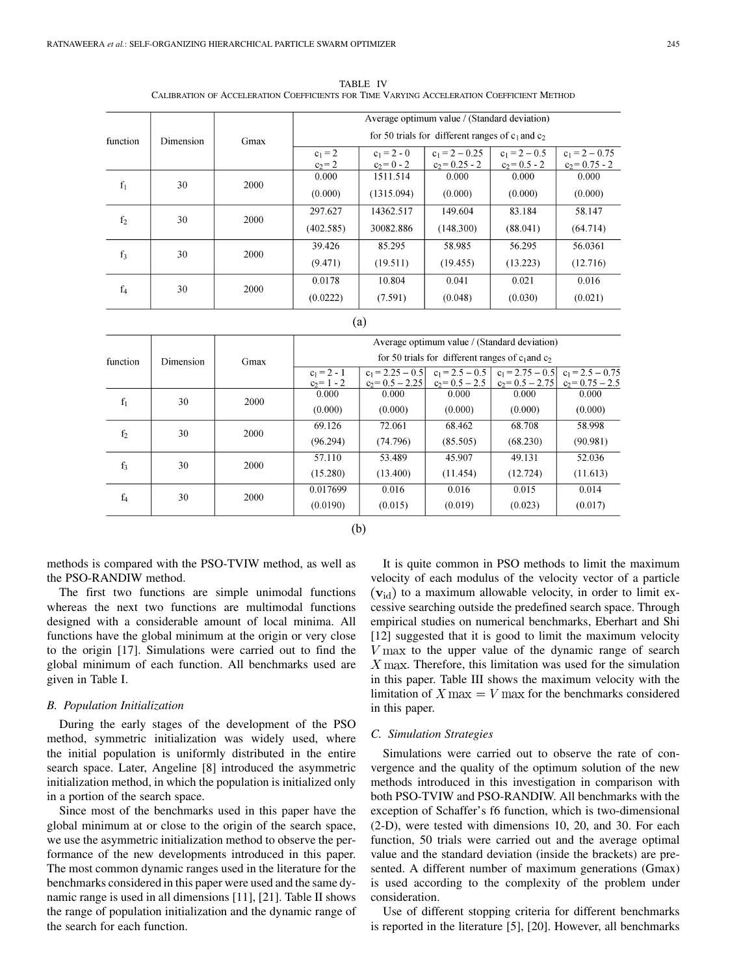|                      |             |         | Average optimum value / (Standard deviation) |                                                       |                                      |                                    |                                      |  |  |  |
|----------------------|-------------|---------|----------------------------------------------|-------------------------------------------------------|--------------------------------------|------------------------------------|--------------------------------------|--|--|--|
| function             | Dimension   | Gmax    |                                              | for 50 trials for different ranges of $c_1$ and $c_2$ |                                      |                                    |                                      |  |  |  |
|                      |             |         | $c_1 = 2$<br>$c_2 = 2$                       | $c_1 = 2 - 0$<br>$c_2 = 0 - 2$                        | $c_1 = 2 - 0.25$<br>$c_2 = 0.25 - 2$ | $c_1 = 2 - 0.5$<br>$c_2 = 0.5 - 2$ | $c_1 = 2 - 0.75$<br>$c_2 = 0.75 - 2$ |  |  |  |
|                      |             |         | 0.000                                        | 1511.514                                              | 0.000                                | 0.000                              | 0.000                                |  |  |  |
| $f_1$<br>30          | 2000        | (0.000) | (1315.094)                                   | (0.000)                                               | (0.000)                              | (0.000)                            |                                      |  |  |  |
|                      |             | 2000    | 297.627                                      | 14362.517                                             | 149.604                              | 83.184                             | 58.147                               |  |  |  |
| f <sub>2</sub>       | 30          |         | (402.585)                                    | 30082.886                                             | (148.300)                            | (88.041)                           | (64.714)                             |  |  |  |
|                      |             | 2000    | 39.426                                       | 85.295                                                | 58.985                               | 56.295                             | 56.0361                              |  |  |  |
| f <sub>3</sub><br>30 |             |         | (9.471)                                      | (19.511)                                              | (19.455)                             | (13.223)                           | (12.716)                             |  |  |  |
|                      | $f_4$<br>30 |         | 0.0178                                       | 10.804                                                | 0.041                                | 0.021                              | 0.016                                |  |  |  |
|                      |             | 2000    | (0.0222)                                     | (7.591)                                               | (0.048)                              | (0.030)                            | (0.021)                              |  |  |  |

TABLE IV CALIBRATION OF ACCELERATION COEFFICIENTS FOR TIME VARYING ACCELERATION COEFFICIENT METHOD

 $(a)$ 

|                |           |            | Average optimum value / (Standard deviation) |                                                       |                                        |                                          |                                          |  |  |  |
|----------------|-----------|------------|----------------------------------------------|-------------------------------------------------------|----------------------------------------|------------------------------------------|------------------------------------------|--|--|--|
| function       | Dimension | Gmax       |                                              | for 50 trials for different ranges of $c_1$ and $c_2$ |                                        |                                          |                                          |  |  |  |
|                |           |            | $c_1 = 2 - 1$<br>$c_2 = 1 - 2$               | $c_1 = 2.25 - 0.5$<br>$c_2 = 0.5 - 2.25$              | $c_1 = 2.5 - 0.5$<br>$c_2 = 0.5 - 2.5$ | $c_1 = 2.75 - 0.5$<br>$c_2 = 0.5 - 2.75$ | $c_1 = 2.5 - 0.75$<br>$c_2 = 0.75 - 2.5$ |  |  |  |
|                | 30        | 2000       | 0.000                                        | 0.000                                                 | 0.000                                  | 0.000                                    | 0.000                                    |  |  |  |
|                | $f_1$     |            | (0.000)                                      | (0.000)                                               | (0.000)                                | (0.000)                                  | (0.000)                                  |  |  |  |
| f <sub>2</sub> |           | 30<br>2000 | 69.126                                       | 72.061                                                | 68.462                                 | 68.708                                   | 58.998                                   |  |  |  |
|                |           |            | (96.294)                                     | (74.796)                                              | (85.505)                               | (68.230)                                 | (90.981)                                 |  |  |  |
| $f_3$          | 30        | 2000       | 57.110                                       | 53.489                                                | 45.907                                 | 49.131                                   | 52.036                                   |  |  |  |
|                |           |            | (15.280)                                     | (13.400)                                              | (11.454)                               | (12.724)                                 | (11.613)                                 |  |  |  |
| $f_4$          | 30        | 2000       | 0.017699                                     | 0.016                                                 | 0.016                                  | 0.015                                    | 0.014                                    |  |  |  |
|                |           |            | (0.0190)                                     | (0.015)                                               | (0.019)                                | (0.023)                                  | (0.017)                                  |  |  |  |

 $(b)$ 

methods is compared with the PSO-TVIW method, as well as the PSO-RANDIW method.

The first two functions are simple unimodal functions whereas the next two functions are multimodal functions designed with a considerable amount of local minima. All functions have the global minimum at the origin or very close to the origin [[17\]](#page-14-0). Simulations were carried out to find the global minimum of each function. All benchmarks used are given in Table I.

#### *B. Population Initialization*

During the early stages of the development of the PSO method, symmetric initialization was widely used, where the initial population is uniformly distributed in the entire search space. Later, Angeline [\[8](#page-14-0)] introduced the asymmetric initialization method, in which the population is initialized only in a portion of the search space.

Since most of the benchmarks used in this paper have the global minimum at or close to the origin of the search space, we use the asymmetric initialization method to observe the performance of the new developments introduced in this paper. The most common dynamic ranges used in the literature for the benchmarks considered in this paper were used and the same dynamic range is used in all dimensions [[11\]](#page-14-0), [\[21](#page-14-0)]. Table II shows the range of population initialization and the dynamic range of the search for each function.

It is quite common in PSO methods to limit the maximum velocity of each modulus of the velocity vector of a particle  $(v_{\rm id})$  to a maximum allowable velocity, in order to limit excessive searching outside the predefined search space. Through empirical studies on numerical benchmarks, Eberhart and Shi [\[12](#page-14-0)] suggested that it is good to limit the maximum velocity  $V$  max to the upper value of the dynamic range of search  $X$  max. Therefore, this limitation was used for the simulation in this paper. Table III shows the maximum velocity with the limitation of  $X$  max =  $V$  max for the benchmarks considered in this paper.

### *C. Simulation Strategies*

Simulations were carried out to observe the rate of convergence and the quality of the optimum solution of the new methods introduced in this investigation in comparison with both PSO-TVIW and PSO-RANDIW. All benchmarks with the exception of Schaffer's f6 function, which is two-dimensional (2-D), were tested with dimensions 10, 20, and 30. For each function, 50 trials were carried out and the average optimal value and the standard deviation (inside the brackets) are presented. A different number of maximum generations (Gmax) is used according to the complexity of the problem under consideration.

Use of different stopping criteria for different benchmarks is reported in the literature [[5\]](#page-14-0), [[20\]](#page-14-0). However, all benchmarks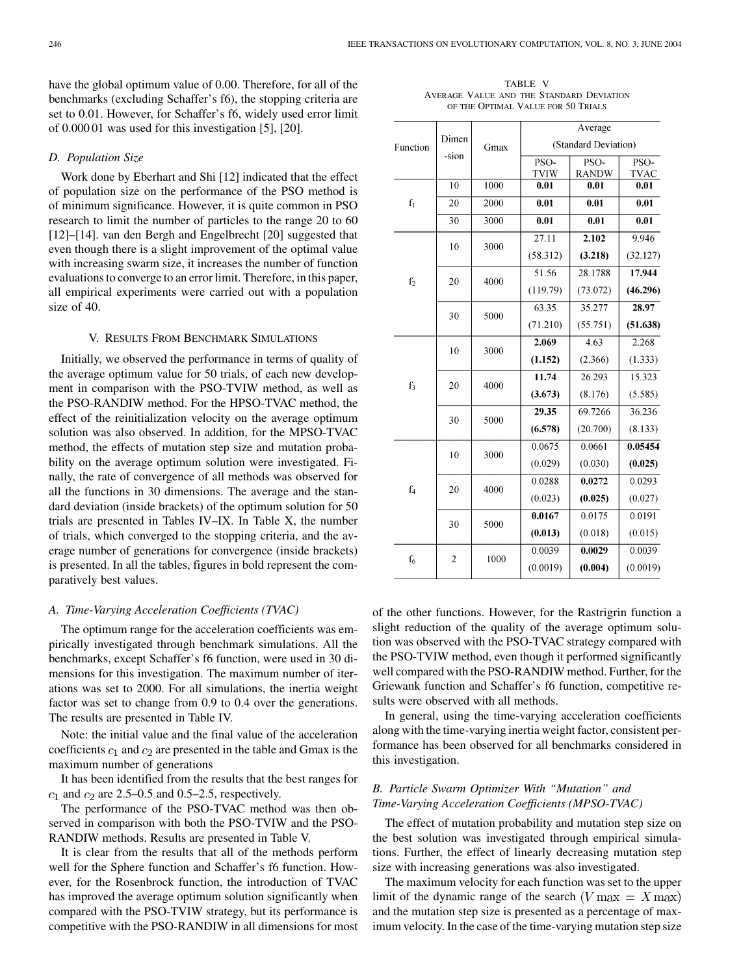have the global optimum value of 0.00. Therefore, for all of the benchmarks (excluding Schaffer's f6), the stopping criteria are set to 0.01. However, for Schaffer's f6, widely used error limit of 0.000 01 was used for this investigation [\[5](#page-14-0)], [[20\]](#page-14-0).

#### *D. Population Size*

Work done by Eberhart and Shi [\[12](#page-14-0)] indicated that the effect of population size on the performance of the PSO method is of minimum significance. However, it is quite common in PSO research to limit the number of particles to the range 20 to 60 [[12\]](#page-14-0)–[\[14](#page-14-0)]. van den Bergh and Engelbrecht [\[20](#page-14-0)] suggested that even though there is a slight improvement of the optimal value with increasing swarm size, it increases the number of function evaluations to converge to an error limit. Therefore, in this paper, all empirical experiments were carried out with a population size of 40.

## V. RESULTS FROM BENCHMARK SIMULATIONS

Initially, we observed the performance in terms of quality of the average optimum value for 50 trials, of each new development in comparison with the PSO-TVIW method, as well as the PSO-RANDIW method. For the HPSO-TVAC method, the effect of the reinitialization velocity on the average optimum solution was also observed. In addition, for the MPSO-TVAC method, the effects of mutation step size and mutation probability on the average optimum solution were investigated. Finally, the rate of convergence of all methods was observed for all the functions in 30 dimensions. The average and the standard deviation (inside brackets) of the optimum solution for 50 trials are presented in Tables IV–IX. In Table X, the number of trials, which converged to the stopping criteria, and the average number of generations for convergence (inside brackets) is presented. In all the tables, figures in bold represent the comparatively best values.

## *A. Time-Varying Acceleration Coefficients (TVAC)*

The optimum range for the acceleration coefficients was empirically investigated through benchmark simulations. All the benchmarks, except Schaffer's f6 function, were used in 30 dimensions for this investigation. The maximum number of iterations was set to 2000. For all simulations, the inertia weight factor was set to change from 0.9 to 0.4 over the generations. The results are presented in Table IV.

Note: the initial value and the final value of the acceleration coefficients  $c_1$  and  $c_2$  are presented in the table and Gmax is the maximum number of generations

It has been identified from the results that the best ranges for  $c_1$  and  $c_2$  are 2.5–0.5 and 0.5–2.5, respectively.

The performance of the PSO-TVAC method was then observed in comparison with both the PSO-TVIW and the PSO-RANDIW methods. Results are presented in Table V.

It is clear from the results that all of the methods perform well for the Sphere function and Schaffer's f6 function. However, for the Rosenbrock function, the introduction of TVAC has improved the average optimum solution significantly when compared with the PSO-TVIW strategy, but its performance is competitive with the PSO-RANDIW in all dimensions for most

TABLE V AVERAGE VALUE AND THE STANDARD DEVIATION OF THE OPTIMAL VALUE FOR 50 TRIALS

|                |                |      | Average              |              |             |  |  |
|----------------|----------------|------|----------------------|--------------|-------------|--|--|
| Function       | Dimen          | Gmax | (Standard Deviation) |              |             |  |  |
|                | -sion          |      | PSO-                 | PSO-         | PSO-        |  |  |
|                |                |      | <b>TVIW</b>          | <b>RANDW</b> | <b>TVAC</b> |  |  |
|                | 10             | 1000 | 0.01                 | 0.01         | 0.01        |  |  |
| $f_1$          | 20             | 2000 | 0.01                 | 0.01         | 0.01        |  |  |
|                | 30             | 3000 | 0.01                 | 0.01         | 0.01        |  |  |
|                | 10             | 3000 | 27.11                | 2.102        | 9.946       |  |  |
|                |                |      | (58.312)             | (3.218)      | (32.127)    |  |  |
| f <sub>2</sub> | 20             | 4000 | 51.56                | 28.1788      | 17.944      |  |  |
|                |                |      | (119.79)             | (73.072)     | (46.296)    |  |  |
|                | 30             | 5000 | 63.35                | 35.277       | 28.97       |  |  |
|                |                |      | (71.210)             | (55.751)     | (51.638)    |  |  |
|                | 10             | 3000 | 2.069                | 4.63         | 2.268       |  |  |
|                |                |      | (1.152)              | (2.366)      | (1.333)     |  |  |
| $f_3$          | 20             | 4000 | 11.74                | 26.293       | 15.323      |  |  |
|                |                |      | (3.673)              | (8.176)      | (5.585)     |  |  |
|                | 30             | 5000 | 29.35                | 69.7266      | 36.236      |  |  |
|                |                |      | (6.578)              | (20.700)     | (8.133)     |  |  |
|                | 10             | 3000 | 0.0675               | 0.0661       | 0.05454     |  |  |
|                |                |      | (0.029)              | (0.030)      | (0.025)     |  |  |
| $f_4$          | 20             | 4000 | 0.0288               | 0.0272       | 0.0293      |  |  |
|                |                |      | (0.023)              | (0.025)      | (0.027)     |  |  |
|                | 30             | 5000 | 0.0167               | 0.0175       | 0.0191      |  |  |
|                |                |      | (0.013)              | (0.018)      | (0.015)     |  |  |
|                |                | 1000 | 0.0039               | 0.0029       | 0.0039      |  |  |
| $f_6$          | $\overline{c}$ |      | (0.0019)             | (0.004)      | (0.0019)    |  |  |

of the other functions. However, for the Rastrigrin function a slight reduction of the quality of the average optimum solution was observed with the PSO-TVAC strategy compared with the PSO-TVIW method, even though it performed significantly well compared with the PSO-RANDIW method. Further, for the Griewank function and Schaffer's f6 function, competitive results were observed with all methods.

In general, using the time-varying acceleration coefficients along with the time-varying inertia weight factor, consistent performance has been observed for all benchmarks considered in this investigation.

## *B. Particle Swarm Optimizer With "Mutation" and Time-Varying Acceleration Coefficients (MPSO-TVAC)*

The effect of mutation probability and mutation step size on the best solution was investigated through empirical simulations. Further, the effect of linearly decreasing mutation step size with increasing generations was also investigated.

The maximum velocity for each function was set to the upper limit of the dynamic range of the search  $(V \max = X \max)$ and the mutation step size is presented as a percentage of maximum velocity. In the case of the time-varying mutation step size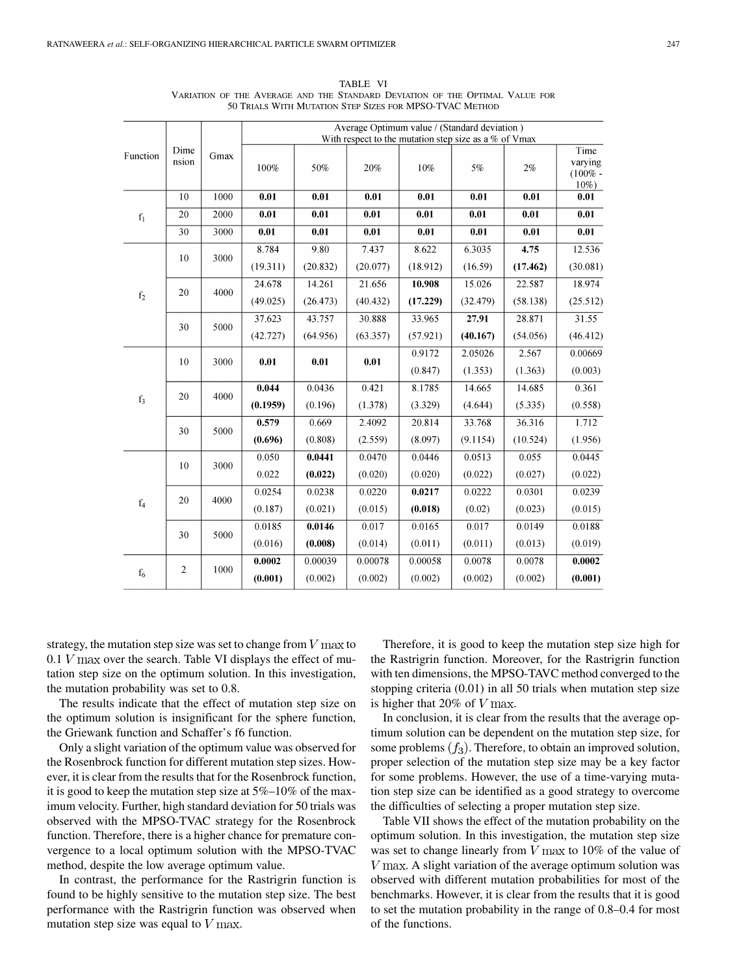|                |                | Gmax | Average Optimum value / (Standard deviation)<br>With respect to the mutation step size as a % of Vmax |          |          |          |          |          |                                          |  |  |
|----------------|----------------|------|-------------------------------------------------------------------------------------------------------|----------|----------|----------|----------|----------|------------------------------------------|--|--|
|                |                |      |                                                                                                       |          |          |          |          |          |                                          |  |  |
| Function       | Dime<br>nsion  |      | 100%                                                                                                  | 50%      | 20%      | 10%      | 5%       | 2%       | Time<br>varying<br>$(100\% -$<br>$10\%)$ |  |  |
|                | 10             | 1000 | 0.01                                                                                                  | 0.01     | 0.01     | 0.01     | 0.01     | 0.01     | 0.01                                     |  |  |
| $f_1$          | 20             | 2000 | 0.01                                                                                                  | 0.01     | 0.01     | 0.01     | 0.01     | 0.01     | 0.01                                     |  |  |
|                | 30             | 3000 | 0.01                                                                                                  | 0.01     | 0.01     | 0.01     | 0.01     | 0.01     | 0.01                                     |  |  |
|                | 10             | 3000 | 8.784                                                                                                 | 9.80     | 7.437    | 8.622    | 6.3035   | 4.75     | 12.536                                   |  |  |
|                |                |      | (19.311)                                                                                              | (20.832) | (20.077) | (18.912) | (16.59)  | (17.462) | (30.081)                                 |  |  |
|                | 20             | 4000 | 24.678                                                                                                | 14.261   | 21.656   | 10.908   | 15.026   | 22.587   | 18.974                                   |  |  |
| $\mathbf{f}_2$ |                |      | (49.025)                                                                                              | (26.473) | (40.432) | (17.229) | (32.479) | (58.138) | (25.512)                                 |  |  |
|                | 30             | 5000 | 37.623                                                                                                | 43.757   | 30.888   | 33.965   | 27.91    | 28.871   | 31.55                                    |  |  |
|                |                |      | (42.727)                                                                                              | (64.956) | (63.357) | (57.921) | (40.167) | (54.056) | (46.412)                                 |  |  |
|                | 10             | 3000 | 0.01                                                                                                  | 0.01     | 0.01     | 0.9172   | 2.05026  | 2.567    | 0.00669                                  |  |  |
|                |                |      |                                                                                                       |          |          | (0.847)  | (1.353)  | (1.363)  | (0.003)                                  |  |  |
|                | 20             | 4000 | 0.044                                                                                                 | 0.0436   | 0.421    | 8.1785   | 14.665   | 14.685   | 0.361                                    |  |  |
| $f_3$          |                |      | (0.1959)                                                                                              | (0.196)  | (1.378)  | (3.329)  | (4.644)  | (5.335)  | (0.558)                                  |  |  |
|                | 30             | 5000 | 0.579                                                                                                 | 0.669    | 2.4092   | 20.814   | 33.768   | 36.316   | 1.712                                    |  |  |
|                |                |      | (0.696)                                                                                               | (0.808)  | (2.559)  | (8.097)  | (9.1154) | (10.524) | (1.956)                                  |  |  |
|                | 10             | 3000 | 0.050                                                                                                 | 0.0441   | 0.0470   | 0.0446   | 0.0513   | 0.055    | 0.0445                                   |  |  |
|                |                |      | 0.022                                                                                                 | (0.022)  | (0.020)  | (0.020)  | (0.022)  | (0.027)  | (0.022)                                  |  |  |
|                | 20             | 4000 | 0.0254                                                                                                | 0.0238   | 0.0220   | 0.0217   | 0.0222   | 0.0301   | 0.0239                                   |  |  |
| $f_4$          |                |      | (0.187)                                                                                               | (0.021)  | (0.015)  | (0.018)  | (0.02)   | (0.023)  | (0.015)                                  |  |  |
|                | 30             | 5000 | 0.0185                                                                                                | 0.0146   | 0.017    | 0.0165   | 0.017    | 0.0149   | 0.0188                                   |  |  |
|                |                |      | (0.016)                                                                                               | (0.008)  | (0.014)  | (0.011)  | (0.011)  | (0.013)  | (0.019)                                  |  |  |
|                |                | 1000 | 0.0002                                                                                                | 0.00039  | 0.00078  | 0.00058  | 0.0078   | 0.0078   | 0.0002                                   |  |  |
| f <sub>6</sub> | $\overline{2}$ |      | (0.001)                                                                                               | (0.002)  | (0.002)  | (0.002)  | (0.002)  | (0.002)  | (0.001)                                  |  |  |

TABLE VI VARIATION OF THE AVERAGE AND THE STANDARD DEVIATION OF THE OPTIMAL VALUE FOR 50 TRIALS WITH MUTATION STEP SIZES FOR MPSO-TVAC METHOD

strategy, the mutation step size was set to change from  $V$  max to  $0.1$  V max over the search. Table VI displays the effect of mutation step size on the optimum solution. In this investigation, the mutation probability was set to 0.8.

The results indicate that the effect of mutation step size on the optimum solution is insignificant for the sphere function, the Griewank function and Schaffer's f6 function.

Only a slight variation of the optimum value was observed for the Rosenbrock function for different mutation step sizes. However, it is clear from the results that for the Rosenbrock function, it is good to keep the mutation step size at 5%–10% of the maximum velocity. Further, high standard deviation for 50 trials was observed with the MPSO-TVAC strategy for the Rosenbrock function. Therefore, there is a higher chance for premature convergence to a local optimum solution with the MPSO-TVAC method, despite the low average optimum value.

In contrast, the performance for the Rastrigrin function is found to be highly sensitive to the mutation step size. The best performance with the Rastrigrin function was observed when mutation step size was equal to  $V$  max.

Therefore, it is good to keep the mutation step size high for the Rastrigrin function. Moreover, for the Rastrigrin function with ten dimensions, the MPSO-TAVC method converged to the stopping criteria (0.01) in all 50 trials when mutation step size is higher that 20% of  $V$  max.

In conclusion, it is clear from the results that the average optimum solution can be dependent on the mutation step size, for some problems  $(f_3)$ . Therefore, to obtain an improved solution, proper selection of the mutation step size may be a key factor for some problems. However, the use of a time-varying mutation step size can be identified as a good strategy to overcome the difficulties of selecting a proper mutation step size.

Table VII shows the effect of the mutation probability on the optimum solution. In this investigation, the mutation step size was set to change linearly from  $V$  max to 10% of the value of  $V$  max. A slight variation of the average optimum solution was observed with different mutation probabilities for most of the benchmarks. However, it is clear from the results that it is good to set the mutation probability in the range of 0.8–0.4 for most of the functions.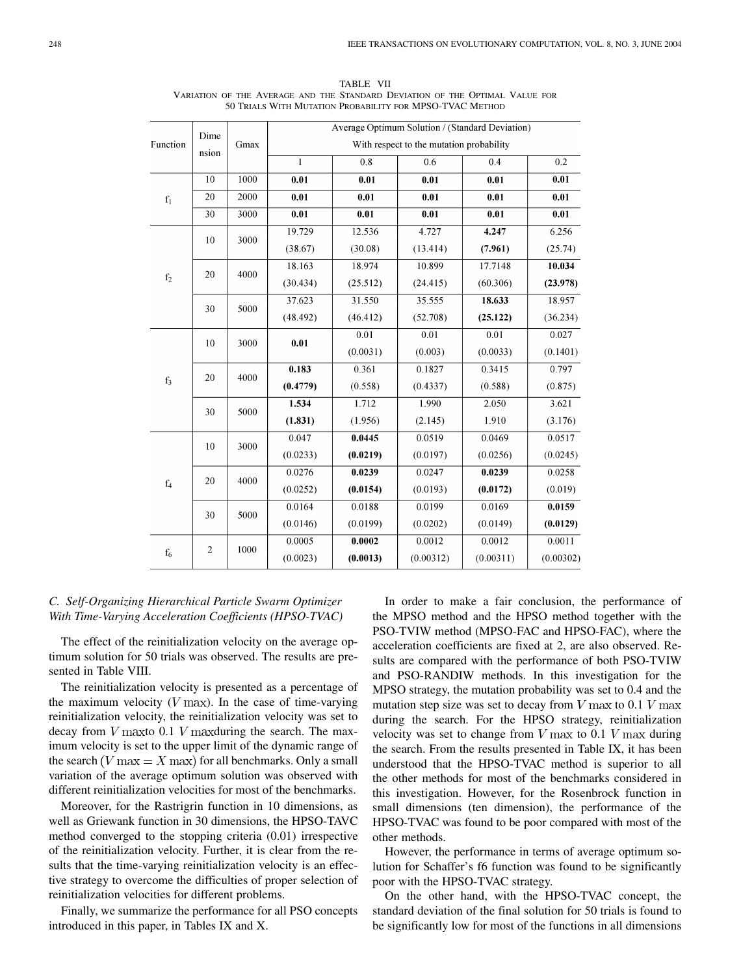|                | Dime         |      | Average Optimum Solution / (Standard Deviation) |          |           |           |           |  |  |  |
|----------------|--------------|------|-------------------------------------------------|----------|-----------|-----------|-----------|--|--|--|
| Function       | nsion        | Gmax | With respect to the mutation probability        |          |           |           |           |  |  |  |
|                |              |      | $\mathbf{1}$                                    | $0.8\,$  | 0.6       | 0.4       | 0.2       |  |  |  |
|                | 10           | 1000 | 0.01                                            | 0.01     | 0.01      | 0.01      | 0.01      |  |  |  |
| $f_1$          | 20           | 2000 | 0.01                                            | 0.01     | 0.01      | 0.01      | 0.01      |  |  |  |
|                | 30           | 3000 | 0.01                                            | 0.01     | 0.01      | 0.01      | 0.01      |  |  |  |
|                | 10           | 3000 | 19.729                                          | 12.536   | 4.727     | 4.247     | 6.256     |  |  |  |
|                |              |      | (38.67)                                         | (30.08)  | (13.414)  | (7.961)   | (25.74)   |  |  |  |
|                | 20           | 4000 | 18.163                                          | 18.974   | 10.899    | 17.7148   | 10.034    |  |  |  |
| f <sub>2</sub> |              |      | (30.434)                                        | (25.512) | (24.415)  | (60.306)  | (23.978)  |  |  |  |
|                | 30           | 5000 | 37.623                                          | 31.550   | 35.555    | 18.633    | 18.957    |  |  |  |
|                |              |      | (48.492)                                        | (46.412) | (52.708)  | (25.122)  | (36.234)  |  |  |  |
|                | 10           | 3000 | 0.01                                            | 0.01     | 0.01      | 0.01      | 0.027     |  |  |  |
|                |              |      |                                                 | (0.0031) | (0.003)   | (0.0033)  | (0.1401)  |  |  |  |
|                | 20           | 4000 | 0.183                                           | 0.361    | 0.1827    | 0.3415    | 0.797     |  |  |  |
| $f_3$          |              |      | (0.4779)                                        | (0.558)  | (0.4337)  | (0.588)   | (0.875)   |  |  |  |
|                | 30           | 5000 | 1.534                                           | 1.712    | 1.990     | 2.050     | 3.621     |  |  |  |
|                |              |      | (1.831)                                         | (1.956)  | (2.145)   | 1.910     | (3.176)   |  |  |  |
|                | 10           | 3000 | 0.047                                           | 0.0445   | 0.0519    | 0.0469    | 0.0517    |  |  |  |
|                |              |      | (0.0233)                                        | (0.0219) | (0.0197)  | (0.0256)  | (0.0245)  |  |  |  |
|                | 20           | 4000 | 0.0276                                          | 0.0239   | 0.0247    | 0.0239    | 0.0258    |  |  |  |
| $f_4$          |              |      | (0.0252)                                        | (0.0154) | (0.0193)  | (0.0172)  | (0.019)   |  |  |  |
|                | 30           |      | 0.0164                                          | 0.0188   | 0.0199    | 0.0169    | 0.0159    |  |  |  |
|                |              | 5000 | (0.0146)                                        | (0.0199) | (0.0202)  | (0.0149)  | (0.0129)  |  |  |  |
|                |              | 1000 | 0.0005                                          | 0.0002   | 0.0012    | 0.0012    | 0.0011    |  |  |  |
| ${\rm f}_6$    | $\mathbf{2}$ |      | (0.0023)                                        | (0.0013) | (0.00312) | (0.00311) | (0.00302) |  |  |  |

TABLE VII VARIATION OF THE AVERAGE AND THE STANDARD DEVIATION OF THE OPTIMAL VALUE FOR 50 TRIALS WITH MUTATION PROBABILITY FOR MPSO-TVAC METHOD

# *C. Self-Organizing Hierarchical Particle Swarm Optimizer With Time-Varying Acceleration Coefficients (HPSO-TVAC)*

The effect of the reinitialization velocity on the average optimum solution for 50 trials was observed. The results are presented in Table VIII.

The reinitialization velocity is presented as a percentage of the maximum velocity  $(V \text{ max})$ . In the case of time-varying reinitialization velocity, the reinitialization velocity was set to decay from  $V$  maxto 0.1  $V$  maxduring the search. The maximum velocity is set to the upper limit of the dynamic range of the search  $(V \max = X \max)$  for all benchmarks. Only a small variation of the average optimum solution was observed with different reinitialization velocities for most of the benchmarks.

Moreover, for the Rastrigrin function in 10 dimensions, as well as Griewank function in 30 dimensions, the HPSO-TAVC method converged to the stopping criteria (0.01) irrespective of the reinitialization velocity. Further, it is clear from the results that the time-varying reinitialization velocity is an effective strategy to overcome the difficulties of proper selection of reinitialization velocities for different problems.

Finally, we summarize the performance for all PSO concepts introduced in this paper, in Tables IX and X.

In order to make a fair conclusion, the performance of the MPSO method and the HPSO method together with the PSO-TVIW method (MPSO-FAC and HPSO-FAC), where the acceleration coefficients are fixed at 2, are also observed. Results are compared with the performance of both PSO-TVIW and PSO-RANDIW methods. In this investigation for the MPSO strategy, the mutation probability was set to 0.4 and the mutation step size was set to decay from  $V$  max to 0.1  $V$  max during the search. For the HPSO strategy, reinitialization velocity was set to change from  $V$  max to 0.1  $V$  max during the search. From the results presented in Table IX, it has been understood that the HPSO-TVAC method is superior to all the other methods for most of the benchmarks considered in this investigation. However, for the Rosenbrock function in small dimensions (ten dimension), the performance of the HPSO-TVAC was found to be poor compared with most of the other methods.

However, the performance in terms of average optimum solution for Schaffer's f6 function was found to be significantly poor with the HPSO-TVAC strategy.

On the other hand, with the HPSO-TVAC concept, the standard deviation of the final solution for 50 trials is found to be significantly low for most of the functions in all dimensions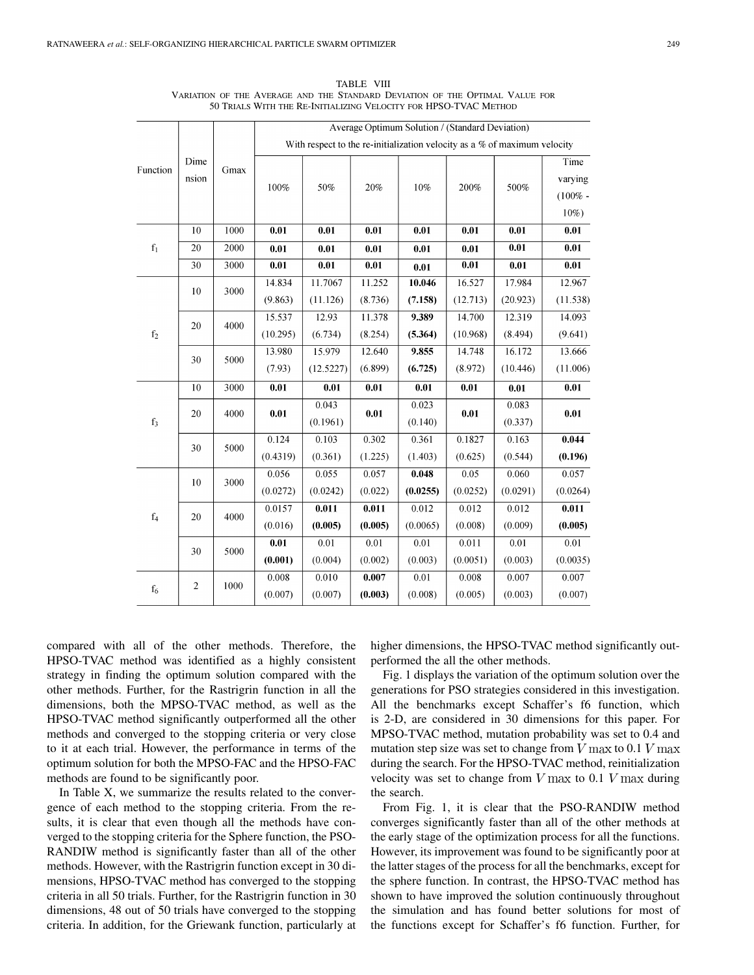|                |                |      | Average Optimum Solution / (Standard Deviation)                           |           |         |          |          |          |            |  |  |
|----------------|----------------|------|---------------------------------------------------------------------------|-----------|---------|----------|----------|----------|------------|--|--|
|                |                | Gmax | With respect to the re-initialization velocity as a % of maximum velocity |           |         |          |          |          |            |  |  |
| Function       | Dime           |      |                                                                           |           |         |          |          |          | Time       |  |  |
|                | nsion          |      | 100%                                                                      | 50%       | 20%     | 10%      | 200%     | 500%     | varying    |  |  |
|                |                |      |                                                                           |           |         |          |          |          | $(100\% -$ |  |  |
|                |                |      |                                                                           |           |         |          |          |          | $10\%)$    |  |  |
|                | 10             | 1000 | 0.01                                                                      | 0.01      | 0.01    | 0.01     | 0.01     | 0.01     | 0.01       |  |  |
| $\mathbf{f}_1$ | 20             | 2000 | 0.01                                                                      | 0.01      | 0.01    | 0.01     | 0.01     | 0.01     | 0.01       |  |  |
|                | 30             | 3000 | 0.01                                                                      | 0.01      | 0.01    | 0.01     | 0.01     | 0.01     | 0.01       |  |  |
|                | 10             | 3000 | 14.834                                                                    | 11.7067   | 11.252  | 10.046   | 16.527   | 17.984   | 12.967     |  |  |
|                |                |      | (9.863)                                                                   | (11.126)  | (8.736) | (7.158)  | (12.713) | (20.923) | (11.538)   |  |  |
| $\mathbf{f}_2$ | 20             | 4000 | 15.537                                                                    | 12.93     | 11.378  | 9.389    | 14.700   | 12.319   | 14.093     |  |  |
|                |                |      | (10.295)                                                                  | (6.734)   | (8.254) | (5.364)  | (10.968) | (8.494)  | (9.641)    |  |  |
|                | 30             | 5000 | 13.980                                                                    | 15.979    | 12.640  | 9.855    | 14.748   | 16.172   | 13.666     |  |  |
|                |                |      | (7.93)                                                                    | (12.5227) | (6.899) | (6.725)  | (8.972)  | (10.446) | (11.006)   |  |  |
|                | 10             | 3000 | 0.01                                                                      | 0.01      | 0.01    | 0.01     | 0.01     | 0.01     | 0.01       |  |  |
|                |                | 4000 | 0.01                                                                      | 0.043     | 0.01    | 0.023    | 0.01     | 0.083    |            |  |  |
| $f_3$          | 20             |      |                                                                           | (0.1961)  |         | (0.140)  |          | (0.337)  | 0.01       |  |  |
|                | 30             | 5000 | 0.124                                                                     | 0.103     | 0.302   | 0.361    | 0.1827   | 0.163    | 0.044      |  |  |
|                |                |      | (0.4319)                                                                  | (0.361)   | (1.225) | (1.403)  | (0.625)  | (0.544)  | (0.196)    |  |  |
|                | 10             | 3000 | 0.056                                                                     | 0.055     | 0.057   | 0.048    | 0.05     | 0.060    | 0.057      |  |  |
|                |                |      | (0.0272)                                                                  | (0.0242)  | (0.022) | (0.0255) | (0.0252) | (0.0291) | (0.0264)   |  |  |
| $f_4$          | 20             | 4000 | 0.0157                                                                    | 0.011     | 0.011   | 0.012    | 0.012    | 0.012    | 0.011      |  |  |
|                |                |      | (0.016)                                                                   | (0.005)   | (0.005) | (0.0065) | (0.008)  | (0.009)  | (0.005)    |  |  |
|                | 30             | 5000 | 0.01                                                                      | 0.01      | 0.01    | 0.01     | 0.011    | 0.01     | 0.01       |  |  |
|                |                |      | (0.001)                                                                   | (0.004)   | (0.002) | (0.003)  | (0.0051) | (0.003)  | (0.0035)   |  |  |
|                | $\overline{2}$ | 1000 | 0.008                                                                     | 0.010     | 0.007   | 0.01     | 0.008    | 0.007    | 0.007      |  |  |
| $f_6$          |                |      | (0.007)                                                                   | (0.007)   | (0.003) | (0.008)  | (0.005)  | (0.003)  | (0.007)    |  |  |

TABLE VIII VARIATION OF THE AVERAGE AND THE STANDARD DEVIATION OF THE OPTIMAL VALUE FOR 50 TRIALS WITH THE RE-INITIALIZING VELOCITY FOR HPSO-TVAC METHOD

compared with all of the other methods. Therefore, the HPSO-TVAC method was identified as a highly consistent strategy in finding the optimum solution compared with the other methods. Further, for the Rastrigrin function in all the dimensions, both the MPSO-TVAC method, as well as the HPSO-TVAC method significantly outperformed all the other methods and converged to the stopping criteria or very close to it at each trial. However, the performance in terms of the optimum solution for both the MPSO-FAC and the HPSO-FAC methods are found to be significantly poor.

In Table X, we summarize the results related to the convergence of each method to the stopping criteria. From the results, it is clear that even though all the methods have converged to the stopping criteria for the Sphere function, the PSO-RANDIW method is significantly faster than all of the other methods. However, with the Rastrigrin function except in 30 dimensions, HPSO-TVAC method has converged to the stopping criteria in all 50 trials. Further, for the Rastrigrin function in 30 dimensions, 48 out of 50 trials have converged to the stopping criteria. In addition, for the Griewank function, particularly at higher dimensions, the HPSO-TVAC method significantly outperformed the all the other methods.

Fig. 1 displays the variation of the optimum solution over the generations for PSO strategies considered in this investigation. All the benchmarks except Schaffer's f6 function, which is 2-D, are considered in 30 dimensions for this paper. For MPSO-TVAC method, mutation probability was set to 0.4 and mutation step size was set to change from  $V$  max to 0.1  $V$  max during the search. For the HPSO-TVAC method, reinitialization velocity was set to change from  $V$  max to 0.1  $V$  max during the search.

From Fig. 1, it is clear that the PSO-RANDIW method converges significantly faster than all of the other methods at the early stage of the optimization process for all the functions. However, its improvement was found to be significantly poor at the latter stages of the process for all the benchmarks, except for the sphere function. In contrast, the HPSO-TVAC method has shown to have improved the solution continuously throughout the simulation and has found better solutions for most of the functions except for Schaffer's f6 function. Further, for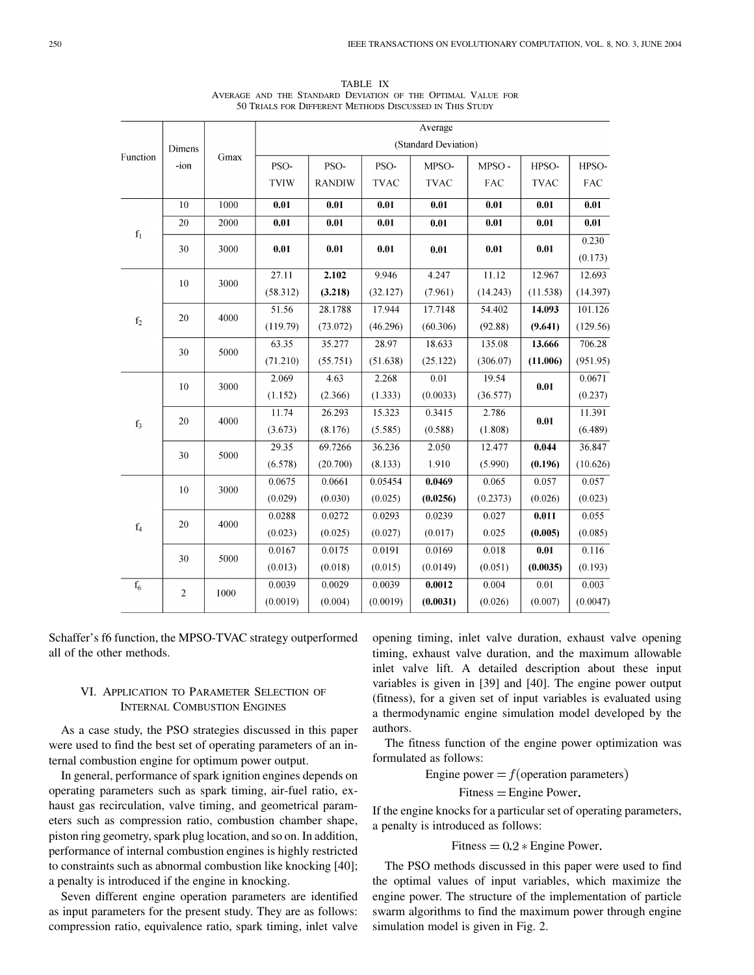| Dimens |                                                                          |                                                              |               |             |             |            |                      |                  |  |
|--------|--------------------------------------------------------------------------|--------------------------------------------------------------|---------------|-------------|-------------|------------|----------------------|------------------|--|
| -ion   |                                                                          | PSO-                                                         | PSO-          | PSO-        | MPSO-       | MPSO-      | HPSO-                | HPSO-            |  |
|        |                                                                          | <b>TVIW</b>                                                  | <b>RANDIW</b> | <b>TVAC</b> | <b>TVAC</b> | <b>FAC</b> | <b>TVAC</b>          | <b>FAC</b>       |  |
| 10     | 1000                                                                     | 0.01                                                         | 0.01          | 0.01        | 0.01        | 0.01       | 0.01                 | 0.01             |  |
| 20     | 2000                                                                     | 0.01                                                         | 0.01          | 0.01        | 0.01        | 0.01       | 0.01                 | 0.01             |  |
| 30     | 3000                                                                     | 0.01                                                         | 0.01          | 0.01        | 0.01        | 0.01       | 0.01                 | 0.230<br>(0.173) |  |
|        |                                                                          | 27.11                                                        | 2.102         | 9.946       | 4.247       | 11.12      | 12.967               | 12.693           |  |
|        |                                                                          | (58.312)                                                     | (3.218)       | (32.127)    | (7.961)     | (14.243)   | (11.538)             | (14.397)         |  |
|        |                                                                          | 51.56                                                        | 28.1788       | 17.944      | 17.7148     | 54.402     | 14.093               | 101.126          |  |
|        |                                                                          | (119.79)                                                     | (73.072)      | (46.296)    | (60.306)    | (92.88)    | (9.641)              | (129.56)         |  |
|        | 5000                                                                     | 63.35                                                        | 35.277        | 28.97       | 18.633      | 135.08     | 13.666               | 706.28           |  |
|        |                                                                          | (71.210)                                                     | (55.751)      | (51.638)    | (25.122)    | (306.07)   | (11.006)             | (951.95)         |  |
|        | 3000                                                                     | 2.069                                                        | 4.63          | 2.268       | 0.01        | 19.54      |                      | 0.0671           |  |
|        |                                                                          | (1.152)                                                      | (2.366)       | (1.333)     | (0.0033)    | (36.577)   |                      | (0.237)          |  |
|        | 4000                                                                     | 11.74                                                        | 26.293        | 15.323      | 0.3415      | 2.786      |                      | 11.391           |  |
|        |                                                                          | (3.673)                                                      | (8.176)       | (5.585)     | (0.588)     | (1.808)    |                      | (6.489)          |  |
|        |                                                                          | 29.35                                                        | 69.7266       | 36.236      | 2.050       | 12.477     | 0.044                | 36.847           |  |
|        |                                                                          | (6.578)                                                      | (20.700)      | (8.133)     | 1.910       | (5.990)    | (0.196)              | (10.626)         |  |
|        |                                                                          | 0.0675                                                       | 0.0661        | 0.05454     | 0.0469      | 0.065      | 0.057                | 0.057            |  |
|        |                                                                          | (0.029)                                                      | (0.030)       | (0.025)     | (0.0256)    | (0.2373)   | (0.026)              | (0.023)          |  |
|        |                                                                          | 0.0288                                                       | 0.0272        | 0.0293      | 0.0239      | 0.027      | 0.011                | 0.055            |  |
|        |                                                                          | (0.023)                                                      | (0.025)       | (0.027)     | (0.017)     | 0.025      | (0.005)              | (0.085)          |  |
|        |                                                                          | 0.0167                                                       | 0.0175        | 0.0191      | 0.0169      | 0.018      | 0.01                 | 0.116            |  |
|        |                                                                          | (0.013)                                                      | (0.018)       | (0.015)     | (0.0149)    | (0.051)    | (0.0035)             | (0.193)          |  |
|        |                                                                          | 0.0039                                                       | 0.0029        | 0.0039      | 0.0012      | 0.004      | 0.01                 | 0.003            |  |
|        |                                                                          | (0.0019)                                                     | (0.004)       | (0.0019)    | (0.0031)    | (0.026)    | (0.007)              | (0.0047)         |  |
|        | 10<br>20<br>30<br>10<br>20<br>30<br>$10\,$<br>20<br>30<br>$\overline{2}$ | Gmax<br>3000<br>4000<br>5000<br>3000<br>4000<br>5000<br>1000 |               |             |             | Average    | (Standard Deviation) | 0.01<br>0.01     |  |

TABLE IX AVERAGE AND THE STANDARD DEVIATION OF THE OPTIMAL VALUE FOR 50 TRIALS FOR DIFFERENT METHODS DISCUSSED IN THIS STUDY

Schaffer's f6 function, the MPSO-TVAC strategy outperformed all of the other methods.

## VI. APPLICATION TO PARAMETER SELECTION OF INTERNAL COMBUSTION ENGINES

As a case study, the PSO strategies discussed in this paper were used to find the best set of operating parameters of an internal combustion engine for optimum power output.

In general, performance of spark ignition engines depends on operating parameters such as spark timing, air-fuel ratio, exhaust gas recirculation, valve timing, and geometrical parameters such as compression ratio, combustion chamber shape, piston ring geometry, spark plug location, and so on. In addition, performance of internal combustion engines is highly restricted to constraints such as abnormal combustion like knocking [[40\]](#page-15-0); a penalty is introduced if the engine in knocking.

Seven different engine operation parameters are identified as input parameters for the present study. They are as follows: compression ratio, equivalence ratio, spark timing, inlet valve opening timing, inlet valve duration, exhaust valve opening timing, exhaust valve duration, and the maximum allowable inlet valve lift. A detailed description about these input variables is given in [[39\]](#page-15-0) and [[40\]](#page-15-0). The engine power output (fitness), for a given set of input variables is evaluated using a thermodynamic engine simulation model developed by the authors.

The fitness function of the engine power optimization was formulated as follows:

Engine power  $= f$  (operation parameters)

 $Fitness = Engine Power.$ 

If the engine knocks for a particular set of operating parameters, a penalty is introduced as follows:

## Fitness =  $0.2 *$  Engine Power.

The PSO methods discussed in this paper were used to find the optimal values of input variables, which maximize the engine power. The structure of the implementation of particle swarm algorithms to find the maximum power through engine simulation model is given in Fig. 2.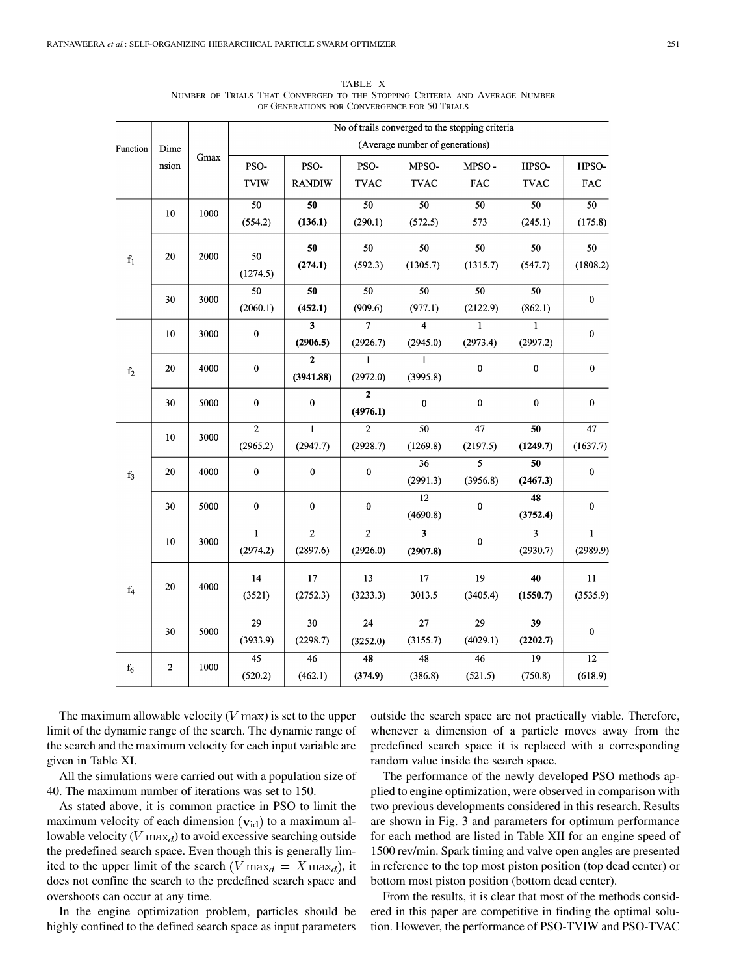|                      |                  |      | No of trails converged to the stopping criteria<br>(Average number of generations) |                 |                            |                 |                 |                 |                 |  |  |
|----------------------|------------------|------|------------------------------------------------------------------------------------|-----------------|----------------------------|-----------------|-----------------|-----------------|-----------------|--|--|
| Function             | Dime             |      |                                                                                    |                 |                            |                 |                 |                 |                 |  |  |
|                      | nsion            | Gmax | PSO-                                                                               | PSO-            | PSO-                       | MPSO-           | MPSO-           | HPSO-           | HPSO-           |  |  |
|                      |                  |      | <b>TVIW</b>                                                                        | <b>RANDIW</b>   | <b>TVAC</b>                | <b>TVAC</b>     | <b>FAC</b>      | <b>TVAC</b>     | FAC             |  |  |
|                      |                  |      | $\overline{50}$                                                                    | 50              | $\overline{50}$            | $\overline{50}$ | $\overline{50}$ | $\overline{50}$ | $\overline{50}$ |  |  |
|                      | 10               | 1000 | (554.2)                                                                            | (136.1)         | (290.1)                    | (572.5)         | 573             | (245.1)         | (175.8)         |  |  |
|                      |                  |      | 50                                                                                 | 50              | 50                         | 50              | 50              | 50              |                 |  |  |
| $f_1$                | $20\,$           | 2000 | 50                                                                                 | (274.1)         | (592.3)                    | (1305.7)        | (1315.7)        | (547.7)         | (1808.2)        |  |  |
|                      |                  |      | (1274.5)                                                                           |                 |                            |                 |                 |                 |                 |  |  |
|                      | 30               | 3000 | $\overline{50}$                                                                    | $\overline{50}$ | $\overline{50}$            | $\overline{50}$ | $\overline{50}$ | $\overline{50}$ | $\bf{0}$        |  |  |
|                      |                  |      | (2060.1)                                                                           | (452.1)         | (909.6)                    | (977.1)         | (2122.9)        | (862.1)         |                 |  |  |
|                      | 10               | 3000 | $\bf{0}$                                                                           | 3               | $\overline{7}$             | $\overline{4}$  | $\mathbf{1}$    | $\mathbf{1}$    | $\pmb{0}$       |  |  |
|                      |                  |      |                                                                                    | (2906.5)        | (2926.7)                   | (2945.0)        | (2973.4)        | (2997.2)        |                 |  |  |
|                      | 20               | 4000 | $\pmb{0}$                                                                          | $\mathbf{2}$    | $\mathbf{1}$               | $\mathbf{1}$    | $\pmb{0}$       | $\bf{0}$        | $\bf{0}$        |  |  |
| f <sub>2</sub><br>30 |                  |      |                                                                                    | (3941.88)       | (2972.0)                   | (3995.8)        |                 |                 |                 |  |  |
|                      |                  | 5000 | $\bf{0}$                                                                           | $\bf{0}$        | $\overline{2}$<br>(4976.1) | $\bf{0}$        | $\pmb{0}$       | $\bf{0}$        | $\bf{0}$        |  |  |
|                      |                  |      | $\overline{2}$                                                                     | $\mathbf{1}$    | $\overline{2}$             | $\overline{50}$ | $\overline{47}$ | $\overline{50}$ | $\overline{47}$ |  |  |
|                      | 10               | 3000 | (2965.2)                                                                           | (2947.7)        | (2928.7)                   | (1269.8)        | (2197.5)        | (1249.7)        | (1637.7)        |  |  |
|                      | 20               | 4000 | $\bf{0}$                                                                           | 0               | $\pmb{0}$                  | 36              | 5               | 50              | $\pmb{0}$       |  |  |
| $\mathbf{f}_3$       |                  |      |                                                                                    |                 |                            | (2991.3)        | (3956.8)        | (2467.3)        |                 |  |  |
|                      | 30               | 5000 | $\pmb{0}$                                                                          | $\bf{0}$        | $\bf{0}$                   | $\overline{12}$ | $\bf{0}$        | $\overline{48}$ | $\bf{0}$        |  |  |
|                      |                  |      |                                                                                    |                 |                            | (4690.8)        |                 | (3752.4)        |                 |  |  |
|                      | 10               | 3000 | $\mathbf{1}$                                                                       | $\overline{2}$  | $\overline{2}$             | 3               | $\pmb{0}$       | 3               | $\mathbf{1}$    |  |  |
|                      |                  |      | (2974.2)                                                                           | (2897.6)        | (2926.0)                   | (2907.8)        |                 | (2930.7)        | (2989.9)        |  |  |
|                      |                  |      | 14                                                                                 | 17              | 13                         | 17              | 19              | 40              | $11\,$          |  |  |
| $\mathbf{f}_4$       | 20               | 4000 | (3521)                                                                             | (2752.3)        | (3233.3)                   | 3013.5          | (3405.4)        | (1550.7)        | (3535.9)        |  |  |
|                      |                  |      | 29                                                                                 | 30              | 24                         | 27              | 29              | 39              |                 |  |  |
|                      | 30               | 5000 | (3933.9)                                                                           | (2298.7)        | (3252.0)                   | (3155.7)        | (4029.1)        | (2202.7)        | $\bf{0}$        |  |  |
| $\rm f_6$            | $\boldsymbol{2}$ | 1000 | $\overline{45}$                                                                    | $\overline{46}$ | 48                         | $\overline{48}$ | $\overline{46}$ | $\overline{19}$ | $\overline{12}$ |  |  |
|                      |                  |      | (520.2)                                                                            | (462.1)         | (374.9)                    | (386.8)         | (521.5)         | (750.8)         | (618.9)         |  |  |
|                      |                  |      |                                                                                    |                 |                            |                 |                 |                 |                 |  |  |

TABLE X NUMBER OF TRIALS THAT CONVERGED TO THE STOPPING CRITERIA AND AVERAGE NUMBER OF GENERATIONS FOR CONVERGENCE FOR 50 TRIALS

The maximum allowable velocity  $(V \max)$  is set to the upper limit of the dynamic range of the search. The dynamic range of the search and the maximum velocity for each input variable are given in Table XI.

All the simulations were carried out with a population size of 40. The maximum number of iterations was set to 150.

As stated above, it is common practice in PSO to limit the maximum velocity of each dimension  $(v_{id})$  to a maximum allowable velocity  $(V \max_d)$  to avoid excessive searching outside the predefined search space. Even though this is generally limited to the upper limit of the search  $(V \max_d = X \max_d)$ , it does not confine the search to the predefined search space and overshoots can occur at any time.

In the engine optimization problem, particles should be highly confined to the defined search space as input parameters outside the search space are not practically viable. Therefore, whenever a dimension of a particle moves away from the predefined search space it is replaced with a corresponding random value inside the search space.

The performance of the newly developed PSO methods applied to engine optimization, were observed in comparison with two previous developments considered in this research. Results are shown in Fig. 3 and parameters for optimum performance for each method are listed in Table XII for an engine speed of 1500 rev/min. Spark timing and valve open angles are presented in reference to the top most piston position (top dead center) or bottom most piston position (bottom dead center).

From the results, it is clear that most of the methods considered in this paper are competitive in finding the optimal solution. However, the performance of PSO-TVIW and PSO-TVAC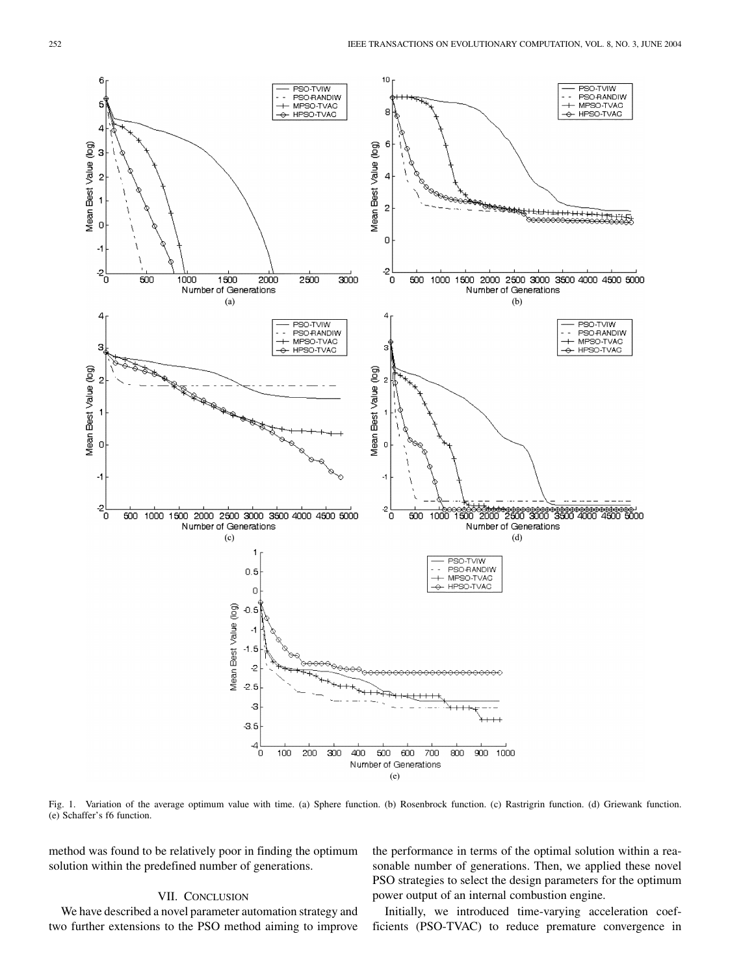

Fig. 1. Variation of the average optimum value with time. (a) Sphere function. (b) Rosenbrock function. (c) Rastrigrin function. (d) Griewank function. (e) Schaffer's f6 function.

method was found to be relatively poor in finding the optimum solution within the predefined number of generations.

## VII. CONCLUSION

We have described a novel parameter automation strategy and two further extensions to the PSO method aiming to improve the performance in terms of the optimal solution within a reasonable number of generations. Then, we applied these novel PSO strategies to select the design parameters for the optimum power output of an internal combustion engine.

Initially, we introduced time-varying acceleration coefficients (PSO-TVAC) to reduce premature convergence in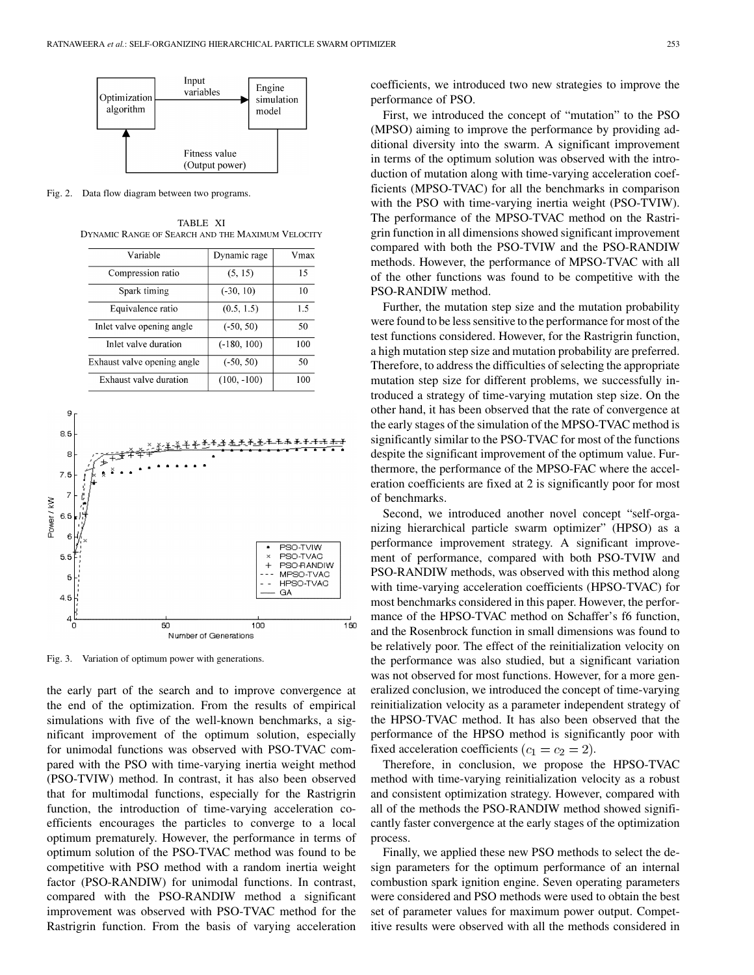

Fig. 2. Data flow diagram between two programs.

TABLE XI DYNAMIC RANGE OF SEARCH AND THE MAXIMUM VELOCITY

| Variable                      | Dynamic rage  | Vmax |
|-------------------------------|---------------|------|
| Compression ratio             | (5, 15)       | 15   |
| Spark timing                  | $(-30, 10)$   | 10   |
| Equivalence ratio             | (0.5, 1.5)    | 15   |
| Inlet valve opening angle     | $(-50, 50)$   | 50   |
| Inlet valve duration          | $(-180, 100)$ | 100  |
| Exhaust valve opening angle   | $(-50, 50)$   | 50   |
| <b>Exhaust valve duration</b> | $(100, -100)$ | 100  |



Fig. 3. Variation of optimum power with generations.

the early part of the search and to improve convergence at the end of the optimization. From the results of empirical simulations with five of the well-known benchmarks, a significant improvement of the optimum solution, especially for unimodal functions was observed with PSO-TVAC compared with the PSO with time-varying inertia weight method (PSO-TVIW) method. In contrast, it has also been observed that for multimodal functions, especially for the Rastrigrin function, the introduction of time-varying acceleration coefficients encourages the particles to converge to a local optimum prematurely. However, the performance in terms of optimum solution of the PSO-TVAC method was found to be competitive with PSO method with a random inertia weight factor (PSO-RANDIW) for unimodal functions. In contrast, compared with the PSO-RANDIW method a significant improvement was observed with PSO-TVAC method for the Rastrigrin function. From the basis of varying acceleration coefficients, we introduced two new strategies to improve the performance of PSO.

First, we introduced the concept of "mutation" to the PSO (MPSO) aiming to improve the performance by providing additional diversity into the swarm. A significant improvement in terms of the optimum solution was observed with the introduction of mutation along with time-varying acceleration coefficients (MPSO-TVAC) for all the benchmarks in comparison with the PSO with time-varying inertia weight (PSO-TVIW). The performance of the MPSO-TVAC method on the Rastrigrin function in all dimensions showed significant improvement compared with both the PSO-TVIW and the PSO-RANDIW methods. However, the performance of MPSO-TVAC with all of the other functions was found to be competitive with the PSO-RANDIW method.

Further, the mutation step size and the mutation probability were found to be less sensitive to the performance for most of the test functions considered. However, for the Rastrigrin function, a high mutation step size and mutation probability are preferred. Therefore, to address the difficulties of selecting the appropriate mutation step size for different problems, we successfully introduced a strategy of time-varying mutation step size. On the other hand, it has been observed that the rate of convergence at the early stages of the simulation of the MPSO-TVAC method is significantly similar to the PSO-TVAC for most of the functions despite the significant improvement of the optimum value. Furthermore, the performance of the MPSO-FAC where the acceleration coefficients are fixed at 2 is significantly poor for most of benchmarks.

Second, we introduced another novel concept "self-organizing hierarchical particle swarm optimizer" (HPSO) as a performance improvement strategy. A significant improvement of performance, compared with both PSO-TVIW and PSO-RANDIW methods, was observed with this method along with time-varying acceleration coefficients (HPSO-TVAC) for most benchmarks considered in this paper. However, the performance of the HPSO-TVAC method on Schaffer's f6 function, and the Rosenbrock function in small dimensions was found to be relatively poor. The effect of the reinitialization velocity on the performance was also studied, but a significant variation was not observed for most functions. However, for a more generalized conclusion, we introduced the concept of time-varying reinitialization velocity as a parameter independent strategy of the HPSO-TVAC method. It has also been observed that the performance of the HPSO method is significantly poor with fixed acceleration coefficients  $(c_1 = c_2 = 2)$ .

Therefore, in conclusion, we propose the HPSO-TVAC method with time-varying reinitialization velocity as a robust and consistent optimization strategy. However, compared with all of the methods the PSO-RANDIW method showed significantly faster convergence at the early stages of the optimization process.

Finally, we applied these new PSO methods to select the design parameters for the optimum performance of an internal combustion spark ignition engine. Seven operating parameters were considered and PSO methods were used to obtain the best set of parameter values for maximum power output. Competitive results were observed with all the methods considered in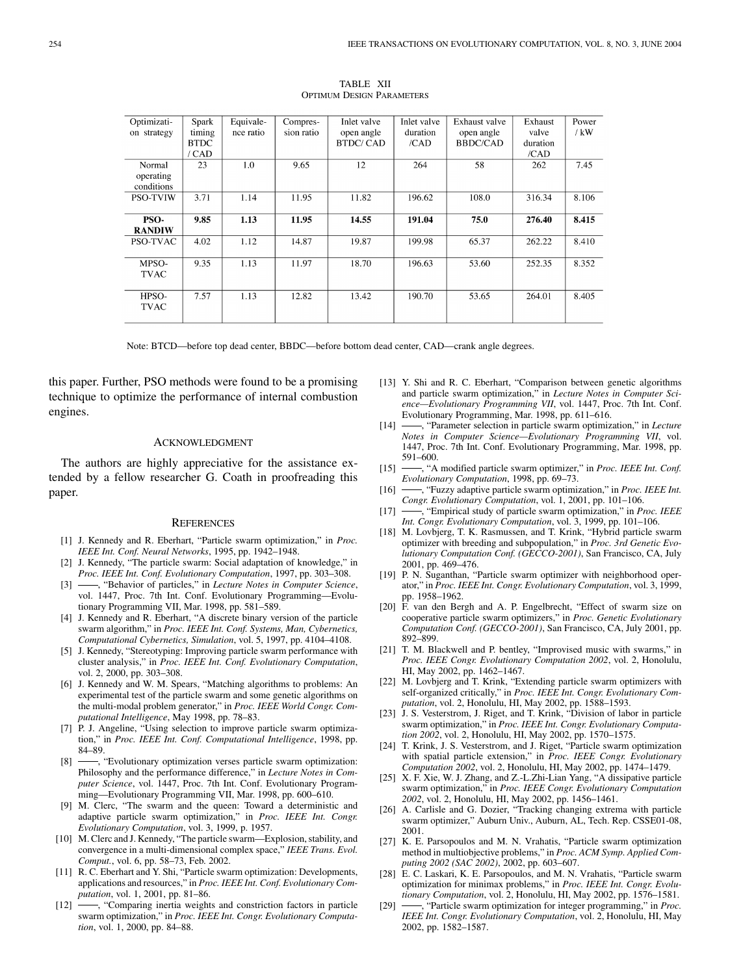<span id="page-14-0"></span>

| Optimizati-     | Spark       | Equivale- | Compres-   | Inlet valve     | Inlet valve | Exhaust valve   | Exhaust  | Power |
|-----------------|-------------|-----------|------------|-----------------|-------------|-----------------|----------|-------|
| on strategy     | timing      | nce ratio | sion ratio | open angle      | duration    | open angle      | valve    | / kW  |
|                 | <b>BTDC</b> |           |            | <b>BTDC/CAD</b> | /CAD        | <b>BBDC/CAD</b> | duration |       |
|                 | $/$ CAD     |           |            |                 |             |                 | /CAD     |       |
| Normal          | 23          | 1.0       | 9.65       | 12              | 264         | 58              | 262      | 7.45  |
| operating       |             |           |            |                 |             |                 |          |       |
| conditions      |             |           |            |                 |             |                 |          |       |
| <b>PSO-TVIW</b> | 3.71        | 1.14      | 11.95      | 11.82           | 196.62      | 108.0           | 316.34   | 8.106 |
|                 |             |           |            |                 |             |                 |          |       |
| PSO-            | 9.85        | 1.13      | 11.95      | 14.55           | 191.04      | 75.0            | 276.40   | 8.415 |
| <b>RANDIW</b>   |             |           |            |                 |             |                 |          |       |
| PSO-TVAC        | 4.02        | 1.12      | 14.87      | 19.87           | 199.98      | 65.37           | 262.22   | 8.410 |
|                 |             |           |            |                 |             |                 |          |       |
| MPSO-           | 9.35        | 1.13      | 11.97      | 18.70           | 196.63      | 53.60           | 252.35   | 8.352 |
| <b>TVAC</b>     |             |           |            |                 |             |                 |          |       |
|                 |             |           |            |                 |             |                 |          |       |
| HPSO-           | 7.57        | 1.13      | 12.82      | 13.42           | 190.70      | 53.65           | 264.01   | 8.405 |
| <b>TVAC</b>     |             |           |            |                 |             |                 |          |       |
|                 |             |           |            |                 |             |                 |          |       |

TABLE XII OPTIMUM DESIGN PARAMETERS

Note: BTCD—before top dead center, BBDC—before bottom dead center, CAD—crank angle degrees.

this paper. Further, PSO methods were found to be a promising technique to optimize the performance of internal combustion engines.

#### ACKNOWLEDGMENT

The authors are highly appreciative for the assistance extended by a fellow researcher G. Coath in proofreading this paper.

#### **REFERENCES**

- [1] J. Kennedy and R. Eberhart, "Particle swarm optimization," in *Proc. IEEE Int. Conf. Neural Networks*, 1995, pp. 1942–1948.
- [2] J. Kennedy, "The particle swarm: Social adaptation of knowledge," in *Proc. IEEE Int. Conf. Evolutionary Computation*, 1997, pp. 303–308.
- [3]  $\rightarrow$  "Behavior of particles," in *Lecture Notes in Computer Science*, vol. 1447, Proc. 7th Int. Conf. Evolutionary Programming—Evolutionary Programming VII, Mar. 1998, pp. 581–589.
- [4] J. Kennedy and R. Eberhart, "A discrete binary version of the particle swarm algorithm," in *Proc. IEEE Int. Conf. Systems, Man, Cybernetics, Computational Cybernetics, Simulation*, vol. 5, 1997, pp. 4104–4108.
- [5] J. Kennedy, "Stereotyping: Improving particle swarm performance with cluster analysis," in *Proc. IEEE Int. Conf. Evolutionary Computation*, vol. 2, 2000, pp. 303–308.
- [6] J. Kennedy and W. M. Spears, "Matching algorithms to problems: An experimental test of the particle swarm and some genetic algorithms on the multi-modal problem generator," in *Proc. IEEE World Congr. Computational Intelligence*, May 1998, pp. 78–83.
- [7] P. J. Angeline, "Using selection to improve particle swarm optimization," in *Proc. IEEE Int. Conf. Computational Intelligence*, 1998, pp. 84–89.
- [8]  $\rightarrow$  "Evolutionary optimization verses particle swarm optimization: Philosophy and the performance difference," in *Lecture Notes in Computer Science*, vol. 1447, Proc. 7th Int. Conf. Evolutionary Programming—Evolutionary Programming VII, Mar. 1998, pp. 600–610.
- [9] M. Clerc, "The swarm and the queen: Toward a deterministic and adaptive particle swarm optimization," in *Proc. IEEE Int. Congr. Evolutionary Computation*, vol. 3, 1999, p. 1957.
- [10] M. Clerc and J. Kennedy, "The particle swarm—Explosion, stability, and convergence in a multi-dimensional complex space," *IEEE Trans. Evol. Comput.*, vol. 6, pp. 58–73, Feb. 2002.
- [11] R. C. Eberhart and Y. Shi, "Particle swarm optimization: Developments, applications and resources," in *Proc. IEEE Int. Conf. Evolutionary Computation*, vol. 1, 2001, pp. 81–86.
- [12] -, "Comparing inertia weights and constriction factors in particle swarm optimization," in *Proc. IEEE Int. Congr. Evolutionary Computation*, vol. 1, 2000, pp. 84–88.
- [13] Y. Shi and R. C. Eberhart, "Comparison between genetic algorithms and particle swarm optimization," in *Lecture Notes in Computer Science—Evolutionary Programming VII*, vol. 1447, Proc. 7th Int. Conf. Evolutionary Programming, Mar. 1998, pp. 611–616.
- [14] , "Parameter selection in particle swarm optimization," in *Lecture Notes in Computer Science—Evolutionary Programming VII*, vol. 1447, Proc. 7th Int. Conf. Evolutionary Programming, Mar. 1998, pp. 591–600.
- [15]  $\longrightarrow$ , "A modified particle swarm optimizer," in *Proc. IEEE Int. Conf. Evolutionary Computation*, 1998, pp. 69–73.
- [16]  $\rightarrow$ , "Fuzzy adaptive particle swarm optimization," in *Proc. IEEE Int. Congr. Evolutionary Computation*, vol. 1, 2001, pp. 101–106.
- [17] , "Empirical study of particle swarm optimization," in *Proc. IEEE Int. Congr. Evolutionary Computation*, vol. 3, 1999, pp. 101–106.
- [18] M. Lovbjerg, T. K. Rasmussen, and T. Krink, "Hybrid particle swarm optimizer with breeding and subpopulation," in *Proc. 3rd Genetic Evolutionary Computation Conf. (GECCO-2001)*, San Francisco, CA, July 2001, pp. 469–476.
- [19] P. N. Suganthan, "Particle swarm optimizer with neighborhood operator," in *Proc. IEEE Int. Congr. Evolutionary Computation*, vol. 3, 1999, pp. 1958–1962.
- [20] F. van den Bergh and A. P. Engelbrecht, "Effect of swarm size on cooperative particle swarm optimizers," in *Proc. Genetic Evolutionary Computation Conf. (GECCO-2001)*, San Francisco, CA, July 2001, pp. 892–899.
- [21] T. M. Blackwell and P. bentley, "Improvised music with swarms," in *Proc. IEEE Congr. Evolutionary Computation 2002*, vol. 2, Honolulu, HI, May 2002, pp. 1462–1467.
- [22] M. Lovbjerg and T. Krink, "Extending particle swarm optimizers with self-organized critically," in *Proc. IEEE Int. Congr. Evolutionary Computation*, vol. 2, Honolulu, HI, May 2002, pp. 1588–1593.
- [23] J. S. Vesterstrom, J. Riget, and T. Krink, "Division of labor in particle swarm optimization," in *Proc. IEEE Int. Congr. Evolutionary Computation 2002*, vol. 2, Honolulu, HI, May 2002, pp. 1570–1575.
- [24] T. Krink, J. S. Vesterstrom, and J. Riget, "Particle swarm optimization with spatial particle extension," in *Proc. IEEE Congr. Evolutionary Computation 2002*, vol. 2, Honolulu, HI, May 2002, pp. 1474–1479.
- [25] X. F. Xie, W. J. Zhang, and Z.-L.Zhi-Lian Yang, "A dissipative particle swarm optimization," in *Proc. IEEE Congr. Evolutionary Computation 2002*, vol. 2, Honolulu, HI, May 2002, pp. 1456–1461.
- [26] A. Carlisle and G. Dozier, "Tracking changing extrema with particle swarm optimizer," Auburn Univ., Auburn, AL, Tech. Rep. CSSE01-08, 2001.
- [27] K. E. Parsopoulos and M. N. Vrahatis, "Particle swarm optimization method in multiobjective problems," in *Proc. ACM Symp. Applied Computing 2002 (SAC 2002)*, 2002, pp. 603–607.
- [28] E. C. Laskari, K. E. Parsopoulos, and M. N. Vrahatis, "Particle swarm optimization for minimax problems," in *Proc. IEEE Int. Congr. Evolutionary Computation*, vol. 2, Honolulu, HI, May 2002, pp. 1576–1581.
- [29]  $\rightarrow$ , "Particle swarm optimization for integer programming," in *Proc. IEEE Int. Congr. Evolutionary Computation*, vol. 2, Honolulu, HI, May 2002, pp. 1582–1587.